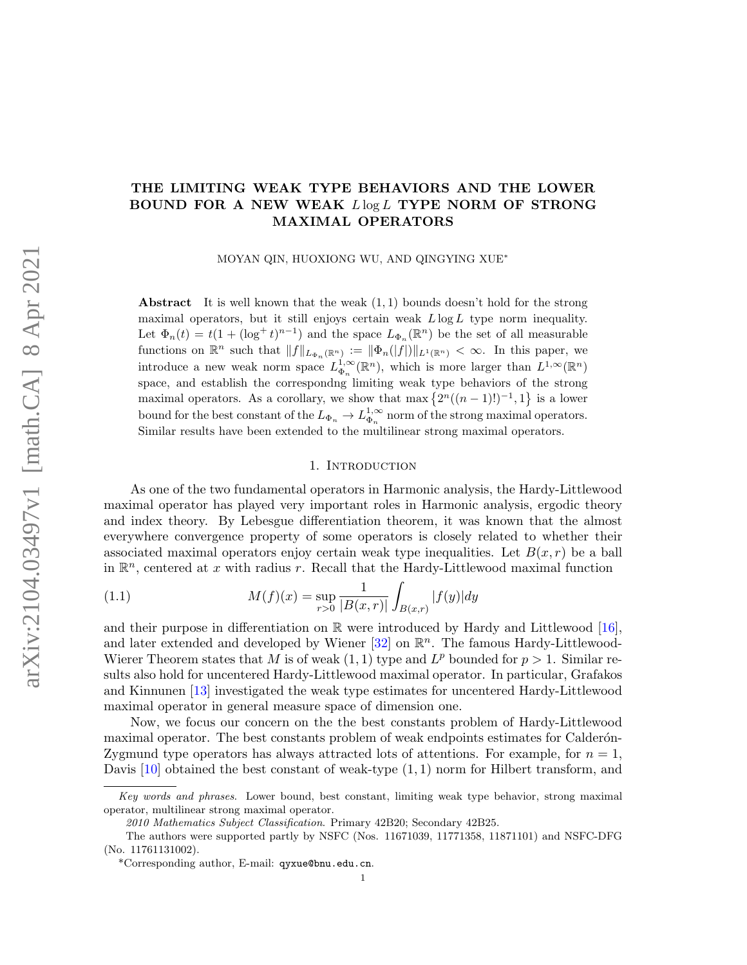## THE LIMITING WEAK TYPE BEHAVIORS AND THE LOWER BOUND FOR A NEW WEAK  $L \log L$  TYPE NORM OF STRONG MAXIMAL OPERATORS

MOYAN QIN, HUOXIONG WU, AND QINGYING XUE<sup>∗</sup>

Abstract It is well known that the weak  $(1, 1)$  bounds doesn't hold for the strong maximal operators, but it still enjoys certain weak  $L \log L$  type norm inequality. Let  $\Phi_n(t) = t(1 + (\log^+ t)^{n-1})$  and the space  $L_{\Phi_n}(\mathbb{R}^n)$  be the set of all measurable functions on  $\mathbb{R}^n$  such that  $||f||_{L_{\Phi_n}(\mathbb{R}^n)} := ||\Phi_n(|f|)||_{L^1(\mathbb{R}^n)} < \infty$ . In this paper, we introduce a new weak norm space  $L_{\Phi_n}^{1,\infty}(\mathbb{R}^n)$ , which is more larger than  $L^{1,\infty}(\mathbb{R}^n)$ space, and establish the correspondng limiting weak type behaviors of the strong maximal operators. As a corollary, we show that max  $\{2^n((n-1)!)^{-1}, 1\}$  is a lower bound for the best constant of the  $L_{\Phi_n} \to L_{\Phi_n}^{1,\infty}$  norm of the strong maximal operators. Similar results have been extended to the multilinear strong maximal operators.

#### <span id="page-0-0"></span>1. Introduction

As one of the two fundamental operators in Harmonic analysis, the Hardy-Littlewood maximal operator has played very important roles in Harmonic analysis, ergodic theory and index theory. By Lebesgue differentiation theorem, it was known that the almost everywhere convergence property of some operators is closely related to whether their associated maximal operators enjoy certain weak type inequalities. Let  $B(x, r)$  be a ball in  $\mathbb{R}^n$ , centered at x with radius r. Recall that the Hardy-Littlewood maximal function

(1.1) 
$$
M(f)(x) = \sup_{r>0} \frac{1}{|B(x,r)|} \int_{B(x,r)} |f(y)| dy
$$

and their purpose in differentiation on  $\mathbb R$  were introduced by Hardy and Littlewood [\[16\]](#page-16-0), and later extended and developed by Wiener  $[32]$  on  $\mathbb{R}^n$ . The famous Hardy-Littlewood-Wierer Theorem states that M is of weak  $(1, 1)$  type and  $L^p$  bounded for  $p > 1$ . Similar results also hold for uncentered Hardy-Littlewood maximal operator. In particular, Grafakos and Kinnunen [\[13\]](#page-16-1) investigated the weak type estimates for uncentered Hardy-Littlewood maximal operator in general measure space of dimension one.

Now, we focus our concern on the the best constants problem of Hardy-Littlewood maximal operator. The best constants problem of weak endpoints estimates for Calderon-Zygmund type operators has always attracted lots of attentions. For example, for  $n = 1$ , Davis  $[10]$  obtained the best constant of weak-type  $(1,1)$  norm for Hilbert transform, and

Key words and phrases. Lower bound, best constant, limiting weak type behavior, strong maximal operator, multilinear strong maximal operator.

<sup>2010</sup> Mathematics Subject Classification. Primary 42B20; Secondary 42B25.

The authors were supported partly by NSFC (Nos. 11671039, 11771358, 11871101) and NSFC-DFG (No. 11761131002).

<sup>\*</sup>Corresponding author, E-mail: qyxue@bnu.edu.cn.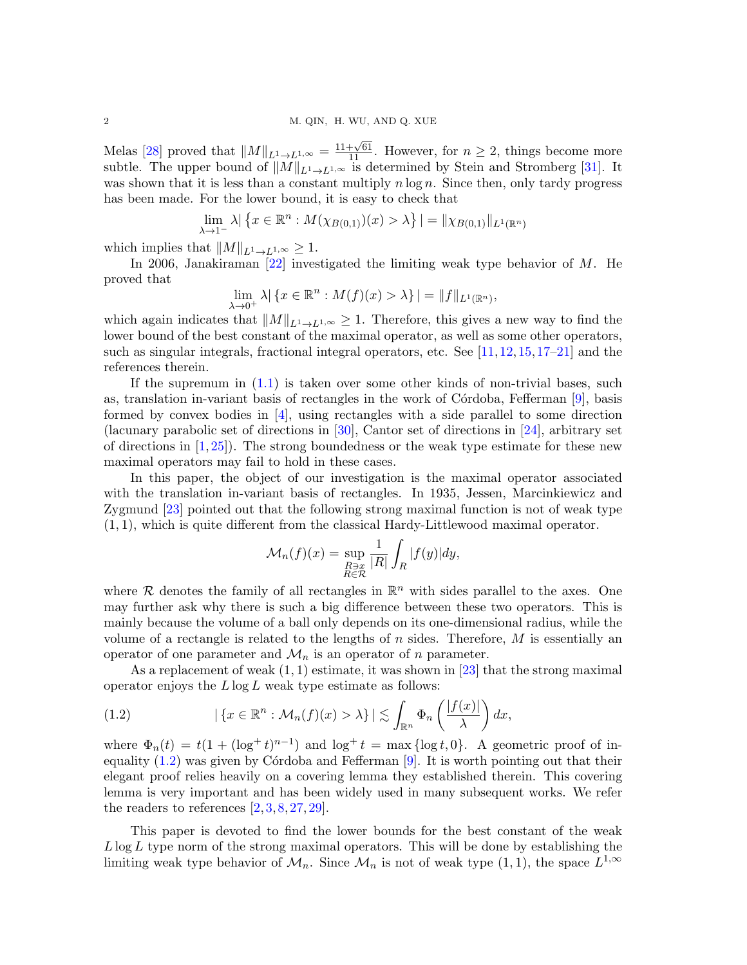Melas [\[28\]](#page-17-1) proved that  $||M||_{L^1 \to L^{1,\infty}} = \frac{11+\sqrt{61}}{11}$ . However, for  $n \geq 2$ , things become more subtle. The upper bound of  $||M||_{L^1\to L^{1,\infty}}$  is determined by Stein and Stromberg [\[31\]](#page-17-2). It was shown that it is less than a constant multiply  $n \log n$ . Since then, only tardy progress has been made. For the lower bound, it is easy to check that

$$
\lim_{\lambda \to 1^{-}} \lambda \big| \big\{ x \in \mathbb{R}^{n} : M(\chi_{B(0,1)})(x) > \lambda \big\} \big| = \|\chi_{B(0,1)}\|_{L^{1}(\mathbb{R}^{n})}
$$

which implies that  $||M||_{L^1\to L^{1,\infty}} \geq 1$ .

In 2006, Janakiraman  $[22]$  investigated the limiting weak type behavior of M. He proved that

$$
\lim_{\lambda \to 0^+} \lambda | \{ x \in \mathbb{R}^n : M(f)(x) > \lambda \} | = ||f||_{L^1(\mathbb{R}^n)},
$$

which again indicates that  $||M||_{L^1\to L^{1,\infty}} \geq 1$ . Therefore, this gives a new way to find the lower bound of the best constant of the maximal operator, as well as some other operators, such as singular integrals, fractional integral operators, etc. See [\[11,](#page-16-3)[12,](#page-16-4)[15,](#page-16-5)[17–](#page-16-6)[21\]](#page-17-4) and the references therein.

If the supremum in  $(1.1)$  is taken over some other kinds of non-trivial bases, such as, translation in-variant basis of rectangles in the work of Córdoba, Fefferman  $[9]$ , basis formed by convex bodies in  $[4]$ , using rectangles with a side parallel to some direction (lacunary parabolic set of directions in [\[30\]](#page-17-5), Cantor set of directions in [\[24\]](#page-17-6), arbitrary set of directions in  $(1, 25)$ . The strong boundedness or the weak type estimate for these new maximal operators may fail to hold in these cases.

In this paper, the object of our investigation is the maximal operator associated with the translation in-variant basis of rectangles. In 1935, Jessen, Marcinkiewicz and Zygmund [\[23\]](#page-17-8) pointed out that the following strong maximal function is not of weak type  $(1, 1)$ , which is quite different from the classical Hardy-Littlewood maximal operator.

$$
\mathcal{M}_n(f)(x) = \sup_{\substack{R \ni x \\ R \in \mathcal{R}}} \frac{1}{|R|} \int_R |f(y)| dy,
$$

where  $R$  denotes the family of all rectangles in  $\mathbb{R}^n$  with sides parallel to the axes. One may further ask why there is such a big difference between these two operators. This is mainly because the volume of a ball only depends on its one-dimensional radius, while the volume of a rectangle is related to the lengths of n sides. Therefore,  $M$  is essentially an operator of one parameter and  $\mathcal{M}_n$  is an operator of n parameter.

As a replacement of weak  $(1, 1)$  estimate, it was shown in [\[23\]](#page-17-8) that the strong maximal operator enjoys the  $L \log L$  weak type estimate as follows:

<span id="page-1-0"></span>(1.2) 
$$
|\{x \in \mathbb{R}^n : \mathcal{M}_n(f)(x) > \lambda\}| \lesssim \int_{\mathbb{R}^n} \Phi_n\left(\frac{|f(x)|}{\lambda}\right) dx,
$$

where  $\Phi_n(t) = t(1 + (\log^+ t)^{n-1})$  and  $\log^+ t = \max{\log t, 0}$ . A geometric proof of inequality  $(1.2)$  was given by Cordoba and Fefferman [\[9\]](#page-16-7). It is worth pointing out that their elegant proof relies heavily on a covering lemma they established therein. This covering lemma is very important and has been widely used in many subsequent works. We refer the readers to references  $[2, 3, 8, 27, 29]$  $[2, 3, 8, 27, 29]$  $[2, 3, 8, 27, 29]$  $[2, 3, 8, 27, 29]$  $[2, 3, 8, 27, 29]$  $[2, 3, 8, 27, 29]$  $[2, 3, 8, 27, 29]$  $[2, 3, 8, 27, 29]$  $[2, 3, 8, 27, 29]$ .

This paper is devoted to find the lower bounds for the best constant of the weak  $L \log L$  type norm of the strong maximal operators. This will be done by establishing the limiting weak type behavior of  $\mathcal{M}_n$ . Since  $\mathcal{M}_n$  is not of weak type  $(1,1)$ , the space  $L^{1,\infty}$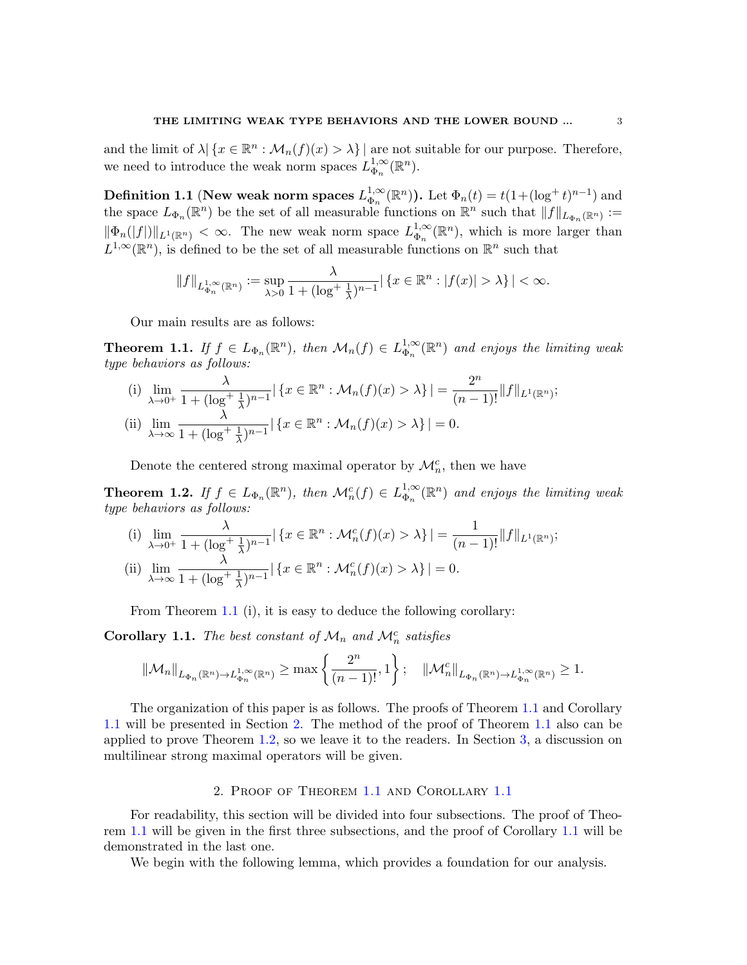and the limit of  $\lambda | \{x \in \mathbb{R}^n : \mathcal{M}_n(f)(x) > \lambda \} |$  are not suitable for our purpose. Therefore, we need to introduce the weak norm spaces  $L_{\Phi}^{1,\infty}$  $_{\Phi_n}^{1,\infty}(\mathbb{R}^n)$ .

Definition 1.1 (New weak norm spaces  $L_{\Phi}^{1,\infty}$  $_{\Phi_n}^{1,\infty}(\mathbb{R}^n)$ ). Let  $\Phi_n(t) = t(1+(\log^+ t)^{n-1})$  and the space  $L_{\Phi_n}(\mathbb{R}^n)$  be the set of all measurable functions on  $\mathbb{R}^n$  such that  $||f||_{L_{\Phi_n}(\mathbb{R}^n)} :=$  $\|\Phi_n(|f|)\|_{L^1(\mathbb{R}^n)} < \infty$ . The new weak norm space  $L_{\Phi_n}^{1,\infty}$  $_{\Phi_n}^{1,\infty}(\mathbb{R}^n)$ , which is more larger than  $L^{1,\infty}(\mathbb{R}^n)$ , is defined to be the set of all measurable functions on  $\mathbb{R}^n$  such that

$$
||f||_{L_{\Phi_n}^{1,\infty}(\mathbb{R}^n)} := \sup_{\lambda > 0} \frac{\lambda}{1 + (\log^+ \frac{1}{\lambda})^{n-1}} |\{x \in \mathbb{R}^n : |f(x)| > \lambda\}| < \infty.
$$

Our main results are as follows:

<span id="page-2-0"></span>**Theorem 1.1.** If  $f \in L_{\Phi_n}(\mathbb{R}^n)$ , then  $\mathcal{M}_n(f) \in L_{\Phi_n}^{1,\infty}$  $_{\Phi_n}^{1,\infty}(\mathbb{R}^n)$  and enjoys the limiting weak type behaviors as follows:

(i) 
$$
\lim_{\lambda \to 0^+} \frac{\lambda}{1 + (\log^+ \frac{1}{\lambda})^{n-1}} | \{ x \in \mathbb{R}^n : \mathcal{M}_n(f)(x) > \lambda \} | = \frac{2^n}{(n-1)!} ||f||_{L^1(\mathbb{R}^n)};
$$
  
\n(ii)  $\lim_{\lambda \to \infty} \frac{\lambda}{1 + (\log^+ \frac{1}{\lambda})^{n-1}} | \{ x \in \mathbb{R}^n : \mathcal{M}_n(f)(x) > \lambda \} | = 0.$ 

Denote the centered strong maximal operator by  $\mathcal{M}_n^c$ , then we have

<span id="page-2-3"></span>**Theorem 1.2.** If  $f \in L_{\Phi_n}(\mathbb{R}^n)$ , then  $\mathcal{M}_n^c(f) \in L_{\Phi_n}^{1,\infty}$  $_{\Phi_n}^{1,\infty}(\mathbb{R}^n)$  and enjoys the limiting weak type behaviors as follows:

(i) 
$$
\lim_{\lambda \to 0^+} \frac{\lambda}{1 + (\log^+ \frac{1}{\lambda})^{n-1}} \left| \left\{ x \in \mathbb{R}^n : \mathcal{M}_n^c(f)(x) > \lambda \right\} \right| = \frac{1}{(n-1)!} \|f\|_{L^1(\mathbb{R}^n)};
$$
  
(ii) 
$$
\lim_{\lambda \to \infty} \frac{\lambda}{1 + (\log^+ \frac{1}{\lambda})^{n-1}} \left| \left\{ x \in \mathbb{R}^n : \mathcal{M}_n^c(f)(x) > \lambda \right\} \right| = 0.
$$

From Theorem [1.1](#page-2-0) (i), it is easy to deduce the following corollary:

<span id="page-2-1"></span>Corollary 1.1. The best constant of  $\mathcal{M}_n$  and  $\mathcal{M}_n^c$  satisfies

$$
\|\mathcal{M}_n\|_{L_{\Phi_n}(\mathbb{R}^n)\to L_{\Phi_n}^{1,\infty}(\mathbb{R}^n)} \ge \max\left\{\frac{2^n}{(n-1)!},1\right\}; \quad \|\mathcal{M}_n^c\|_{L_{\Phi_n}(\mathbb{R}^n)\to L_{\Phi_n}^{1,\infty}(\mathbb{R}^n)} \ge 1.
$$

The organization of this paper is as follows. The proofs of Theorem [1.1](#page-2-0) and Corollary [1.1](#page-2-1) will be presented in Section [2.](#page-2-2) The method of the proof of Theorem [1.1](#page-2-0) also can be applied to prove Theorem [1.2,](#page-2-3) so we leave it to the readers. In Section [3,](#page-11-0) a discussion on multilinear strong maximal operators will be given.

### 2. Proof of Theorem [1.1](#page-2-0) and Corollary [1.1](#page-2-1)

<span id="page-2-2"></span>For readability, this section will be divided into four subsections. The proof of Theorem [1.1](#page-2-0) will be given in the first three subsections, and the proof of Corollary [1.1](#page-2-1) will be demonstrated in the last one.

We begin with the following lemma, which provides a foundation for our analysis.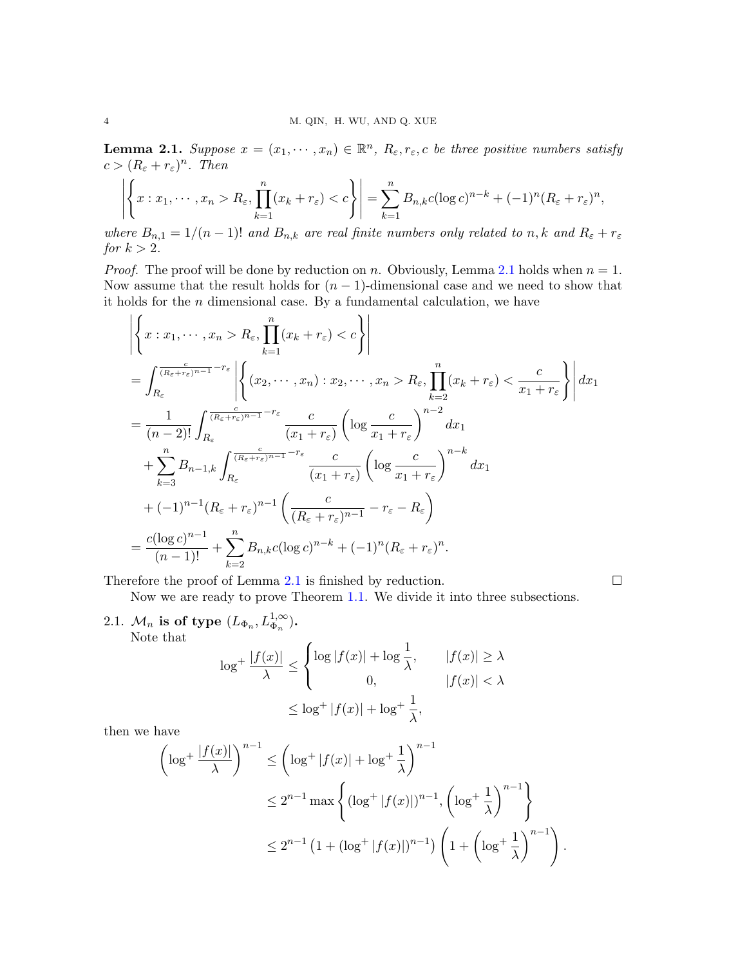<span id="page-3-0"></span>**Lemma 2.1.** Suppose  $x = (x_1, \dots, x_n) \in \mathbb{R}^n$ ,  $R_{\varepsilon}, r_{\varepsilon}, c$  be three positive numbers satisfy  $c > (R_{\varepsilon} + r_{\varepsilon})^n$ . Then

$$
\left| \left\{ x : x_1, \cdots, x_n > R_{\varepsilon}, \prod_{k=1}^n (x_k + r_{\varepsilon}) < c \right\} \right| = \sum_{k=1}^n B_{n,k} c (\log c)^{n-k} + (-1)^n (R_{\varepsilon} + r_{\varepsilon})^n,
$$

where  $B_{n,1} = 1/(n-1)!$  and  $B_{n,k}$  are real finite numbers only related to n, k and  $R_{\varepsilon} + r_{\varepsilon}$ for  $k > 2$ .

*Proof.* The proof will be done by reduction on n. Obviously, Lemma [2.1](#page-3-0) holds when  $n = 1$ . Now assume that the result holds for  $(n - 1)$ -dimensional case and we need to show that it holds for the  $n$  dimensional case. By a fundamental calculation, we have

$$
\left| \left\{ x : x_1, \dots, x_n > R_{\varepsilon}, \prod_{k=1}^n (x_k + r_{\varepsilon}) < c \right\} \right|
$$
\n
$$
= \int_{R_{\varepsilon}}^{\frac{1}{(R_{\varepsilon} + r_{\varepsilon})^{n-1}} - r_{\varepsilon}} \left| \left\{ (x_2, \dots, x_n) : x_2, \dots, x_n > R_{\varepsilon}, \prod_{k=2}^n (x_k + r_{\varepsilon}) < \frac{c}{x_1 + r_{\varepsilon}} \right\} \right| dx_1
$$
\n
$$
= \frac{1}{(n-2)!} \int_{R_{\varepsilon}}^{\frac{c}{(R_{\varepsilon} + r_{\varepsilon})^{n-1}} - r_{\varepsilon}} \frac{c}{(x_1 + r_{\varepsilon})} \left( \log \frac{c}{x_1 + r_{\varepsilon}} \right)^{n-2} dx_1
$$
\n
$$
+ \sum_{k=3}^n B_{n-1,k} \int_{R_{\varepsilon}}^{\frac{c}{(R_{\varepsilon} + r_{\varepsilon})^{n-1}} - r_{\varepsilon}} \frac{c}{(x_1 + r_{\varepsilon})} \left( \log \frac{c}{x_1 + r_{\varepsilon}} \right)^{n-k} dx_1
$$
\n
$$
+ (-1)^{n-1} (R_{\varepsilon} + r_{\varepsilon})^{n-1} \left( \frac{c}{(R_{\varepsilon} + r_{\varepsilon})^{n-1}} - r_{\varepsilon} - R_{\varepsilon} \right)
$$
\n
$$
= \frac{c(\log c)^{n-1}}{(n-1)!} + \sum_{k=2}^n B_{n,k} c(\log c)^{n-k} + (-1)^n (R_{\varepsilon} + r_{\varepsilon})^n.
$$

Therefore the proof of Lemma [2.1](#page-3-0) is finished by reduction.  $\Box$ 

Now we are ready to prove Theorem [1.1.](#page-2-0) We divide it into three subsections.

2.1.  $\mathcal{M}_n$  is of type  $(L_{\Phi_n}, L_{\Phi_n}^{1,\infty})$ . Note that

$$
\log^+ \frac{|f(x)|}{\lambda} \le \begin{cases} \log |f(x)| + \log \frac{1}{\lambda}, & |f(x)| \ge \lambda \\ 0, & |f(x)| < \lambda \end{cases}
$$
\n
$$
\le \log^+ |f(x)| + \log^+ \frac{1}{\lambda},
$$

then we have

$$
\left(\log^+\frac{|f(x)|}{\lambda}\right)^{n-1} \le \left(\log^+|f(x)| + \log^+\frac{1}{\lambda}\right)^{n-1}
$$
  

$$
\le 2^{n-1}\max\left\{(\log^+|f(x)|)^{n-1}, \left(\log^+\frac{1}{\lambda}\right)^{n-1}\right\}
$$
  

$$
\le 2^{n-1}\left(1+(\log^+|f(x)|)^{n-1}\right)\left(1+\left(\log^+\frac{1}{\lambda}\right)^{n-1}\right).
$$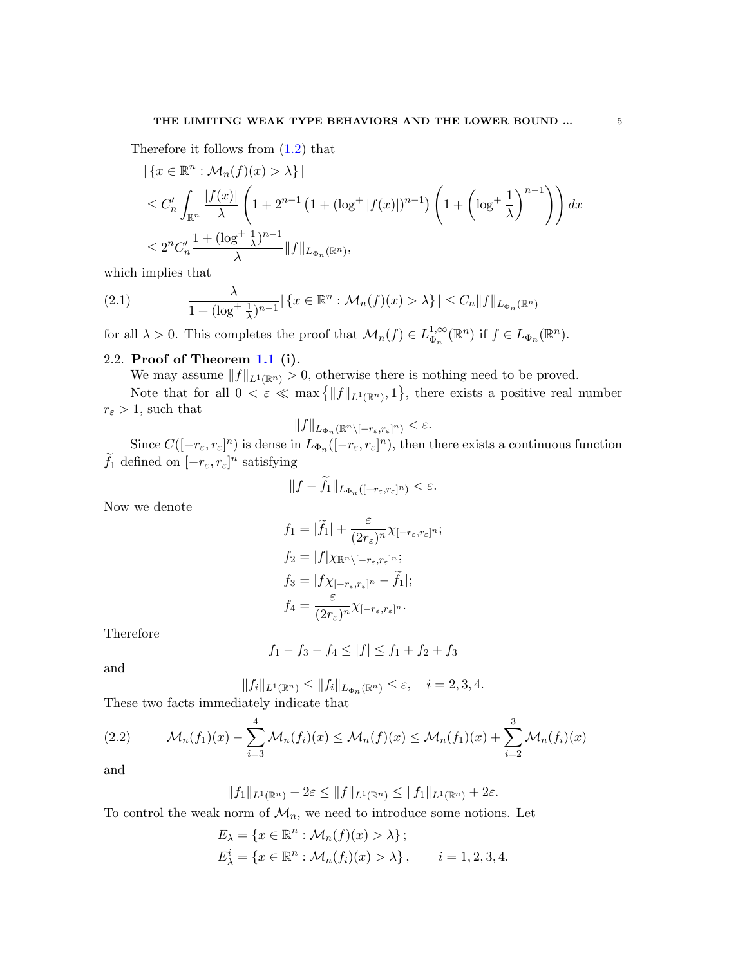Therefore it follows from  $(1.2)$  that

$$
\begin{aligned} & \left| \{ x \in \mathbb{R}^n : \mathcal{M}_n(f)(x) > \lambda \} \right| \\ &\leq C'_n \int_{\mathbb{R}^n} \frac{|f(x)|}{\lambda} \left( 1 + 2^{n-1} \left( 1 + (\log^+ |f(x)|)^{n-1} \right) \left( 1 + \left( \log^+ \frac{1}{\lambda} \right)^{n-1} \right) \right) dx \\ &\leq 2^n C'_n \frac{1 + (\log^+ \frac{1}{\lambda})^{n-1}}{\lambda} \| f \|_{L_{\Phi_n}(\mathbb{R}^n)}, \end{aligned}
$$

which implies that

<span id="page-4-1"></span>(2.1) 
$$
\frac{\lambda}{1+(\log^+\frac{1}{\lambda})^{n-1}}|\left\{x\in\mathbb{R}^n:\mathcal{M}_n(f)(x)>\lambda\right\}|\leq C_n\|f\|_{L_{\Phi_n}(\mathbb{R}^n)}
$$

for all  $\lambda > 0$ . This completes the proof that  $\mathcal{M}_n(f) \in L_{\Phi_n}^{1,\infty}$  $_{\Phi_n}^{1,\infty}(\mathbb{R}^n)$  if  $f \in L_{\Phi_n}(\mathbb{R}^n)$ .

### 2.2. Proof of Theorem [1.1](#page-2-0) (i).

We may assume  $||f||_{L^1(\mathbb{R}^n)} > 0$ , otherwise there is nothing need to be proved.

Note that for all  $0 < \varepsilon \ll \max\left\{||f||_{L^1(\mathbb{R}^n)}, 1\right\}$ , there exists a positive real number  $r_{\varepsilon} > 1$ , such that

$$
||f||_{L_{\Phi_n}(\mathbb{R}^n \setminus [-r_\varepsilon, r_\varepsilon]^n)} < \varepsilon.
$$

Since  $C([-r_{\varepsilon}, r_{\varepsilon}]^n)$  is dense in  $L_{\Phi_n}([-r_{\varepsilon}, r_{\varepsilon}]^n)$ , then there exists a continuous function  $\tilde{f}_1$  defined on  $[-r_\varepsilon, r_\varepsilon]^n$  satisfying

$$
||f - f_1||_{L_{\Phi_n}([-r_\varepsilon, r_\varepsilon]^n)} < \varepsilon.
$$

Now we denote

$$
f_1 = |\tilde{f}_1| + \frac{\varepsilon}{(2r_{\varepsilon})^n} \chi_{[-r_{\varepsilon}, r_{\varepsilon}]^n};
$$
  
\n
$$
f_2 = |f| \chi_{\mathbb{R}^n \setminus [-r_{\varepsilon}, r_{\varepsilon}]^n};
$$
  
\n
$$
f_3 = |f \chi_{[-r_{\varepsilon}, r_{\varepsilon}]^n} - \tilde{f}_1|;
$$
  
\n
$$
f_4 = \frac{\varepsilon}{(2r_{\varepsilon})^n} \chi_{[-r_{\varepsilon}, r_{\varepsilon}]^n}.
$$

Therefore

$$
f_1 - f_3 - f_4 \le |f| \le f_1 + f_2 + f_3
$$

and

$$
||f_i||_{L^1(\mathbb{R}^n)} \le ||f_i||_{L_{\Phi_n}(\mathbb{R}^n)} \le \varepsilon, \quad i = 2, 3, 4.
$$

These two facts immediately indicate that

<span id="page-4-0"></span>(2.2) 
$$
\mathcal{M}_n(f_1)(x) - \sum_{i=3}^4 \mathcal{M}_n(f_i)(x) \leq \mathcal{M}_n(f)(x) \leq \mathcal{M}_n(f_1)(x) + \sum_{i=2}^3 \mathcal{M}_n(f_i)(x)
$$

and

$$
||f_1||_{L^1(\mathbb{R}^n)} - 2\varepsilon \le ||f||_{L^1(\mathbb{R}^n)} \le ||f_1||_{L^1(\mathbb{R}^n)} + 2\varepsilon.
$$

To control the weak norm of  $\mathcal{M}_n$ , we need to introduce some notions. Let

$$
E_{\lambda} = \{x \in \mathbb{R}^n : \mathcal{M}_n(f)(x) > \lambda\};
$$
  
\n
$$
E_{\lambda}^i = \{x \in \mathbb{R}^n : \mathcal{M}_n(f_i)(x) > \lambda\}, \qquad i = 1, 2, 3, 4.
$$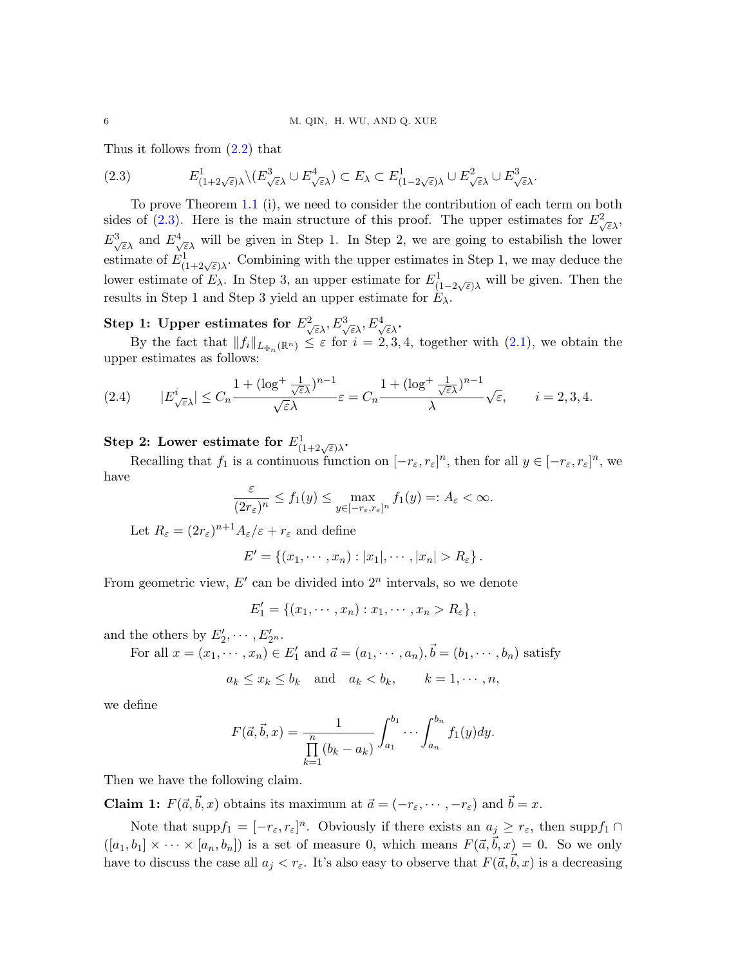Thus it follows from [\(2.2\)](#page-4-0) that

<span id="page-5-0"></span>(2.3) 
$$
E^1_{(1+2\sqrt{\varepsilon})\lambda} \setminus (E^3_{\sqrt{\varepsilon}\lambda} \cup E^4_{\sqrt{\varepsilon}\lambda}) \subset E_\lambda \subset E^1_{(1-2\sqrt{\varepsilon})\lambda} \cup E^2_{\sqrt{\varepsilon}\lambda} \cup E^3_{\sqrt{\varepsilon}\lambda}.
$$

To prove Theorem [1.1](#page-2-0) (i), we need to consider the contribution of each term on both sides of [\(2.3\)](#page-5-0). Here is the main structure of this proof. The upper estimates for  $E^2_{\sqrt{\varepsilon}\lambda}$ ,  $E^3_{\sqrt{\varepsilon}\lambda}$  and  $E^4_{\sqrt{\varepsilon}\lambda}$  will be given in Step 1. In Step 2, we are going to estabilish the lower estimate of  $E^1_{(1+2\sqrt{\varepsilon})\lambda}$ . Combining with the upper estimates in Step 1, we may deduce the lower estimate of  $E_\lambda$ . In Step 3, an upper estimate for  $E^1_{(1-2\sqrt{\varepsilon})\lambda}$  will be given. Then the results in Step 1 and Step 3 yield an upper estimate for  $E_{\lambda}$ .

## Step 1: Upper estimates for  $E^2_{\sqrt{\varepsilon}\lambda}, E^3_{\sqrt{\varepsilon}\lambda}, E^4_{\sqrt{\varepsilon}\lambda}$ .

By the fact that  $||f_i||_{L_{\Phi_n}(\mathbb{R}^n)} \leq \varepsilon$  for  $i = 2, 3, 4$ , together with  $(2.1)$ , we obtain the upper estimates as follows:

<span id="page-5-1"></span>(2.4) 
$$
|E_{\sqrt{\varepsilon}\lambda}^i| \le C_n \frac{1 + (\log^+ \frac{1}{\sqrt{\varepsilon}\lambda})^{n-1}}{\sqrt{\varepsilon}\lambda} \varepsilon = C_n \frac{1 + (\log^+ \frac{1}{\sqrt{\varepsilon}\lambda})^{n-1}}{\lambda} \sqrt{\varepsilon}, \qquad i = 2, 3, 4.
$$

Step 2: Lower estimate for  $E^1_{(1+2\sqrt{\varepsilon})\lambda}$ .

Recalling that  $f_1$  is a continuous function on  $[-r_\varepsilon, r_\varepsilon]^n$ , then for all  $y \in [-r_\varepsilon, r_\varepsilon]^n$ , we have

$$
\frac{\varepsilon}{(2r_{\varepsilon})^n} \le f_1(y) \le \max_{y \in [-r_{\varepsilon}, r_{\varepsilon}]^n} f_1(y) =: A_{\varepsilon} < \infty.
$$

Let  $R_{\varepsilon} = (2r_{\varepsilon})^{n+1} A_{\varepsilon}/\varepsilon + r_{\varepsilon}$  and define

$$
E' = \{(x_1, \cdots, x_n) : |x_1|, \cdots, |x_n| > R_{\varepsilon}\}.
$$

From geometric view,  $E'$  can be divided into  $2^n$  intervals, so we denote

$$
E'_1 = \{(x_1, \cdots, x_n) : x_1, \cdots, x_n > R_{\varepsilon}\},
$$

and the others by  $E'_2, \cdots, E'_{2^n}$ .

For all  $x = (x_1, \dots, x_n) \in E'_1$  and  $\vec{a} = (a_1, \dots, a_n), \vec{b} = (b_1, \dots, b_n)$  satisfy

$$
a_k \le x_k \le b_k
$$
 and  $a_k < b_k$ ,  $k = 1, \dots, n$ ,

we define

$$
F(\vec{a}, \vec{b}, x) = \frac{1}{\prod_{k=1}^{n} (b_k - a_k)} \int_{a_1}^{b_1} \cdots \int_{a_n}^{b_n} f_1(y) dy.
$$

Then we have the following claim.

**Claim 1:**  $F(\vec{a}, \vec{b}, x)$  obtains its maximum at  $\vec{a} = (-r_{\varepsilon}, \dots, -r_{\varepsilon})$  and  $\vec{b} = x$ .

Note that supp $f_1 = [-r_{\varepsilon}, r_{\varepsilon}]^n$ . Obviously if there exists an  $a_j \geq r_{\varepsilon}$ , then supp $f_1 \cap$  $([a_1, b_1] \times \cdots \times [a_n, b_n])$  is a set of measure 0, which means  $F(\vec{a}, \vec{b}, x) = 0$ . So we only have to discuss the case all  $a_j < r_{\varepsilon}$ . It's also easy to observe that  $F(\vec{a}, \vec{b}, x)$  is a decreasing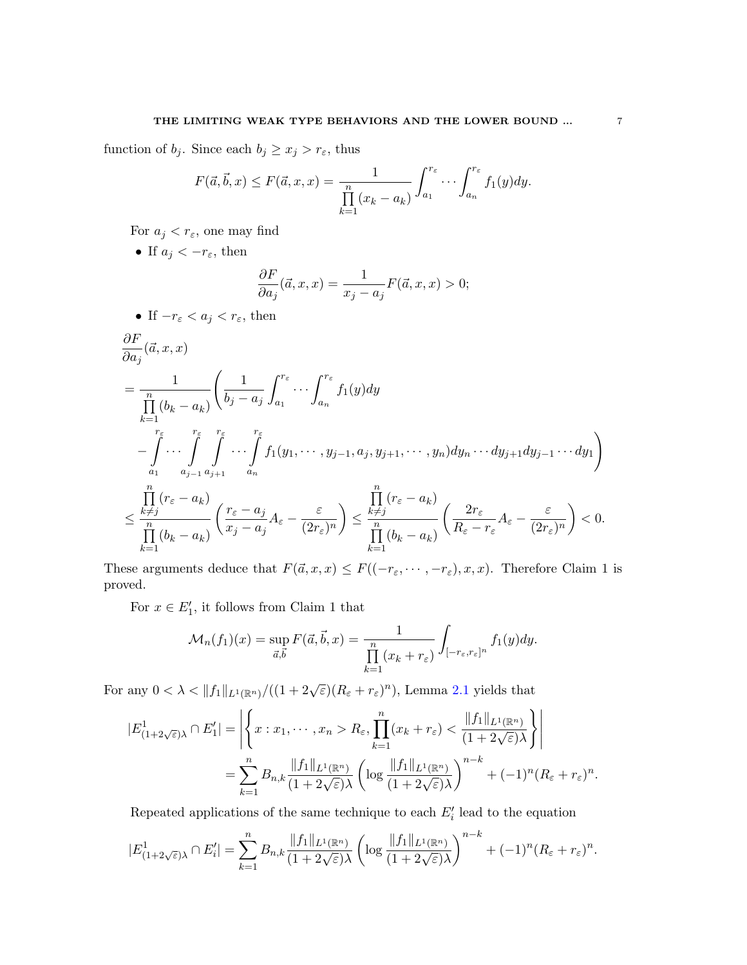function of  $b_j$ . Since each  $b_j \geq x_j > r_{\varepsilon}$ , thus

$$
F(\vec{a}, \vec{b}, x) \le F(\vec{a}, x, x) = \frac{1}{\prod_{k=1}^{n} (x_k - a_k)} \int_{a_1}^{r_{\varepsilon}} \cdots \int_{a_n}^{r_{\varepsilon}} f_1(y) dy.
$$

For  $a_j < r_{\varepsilon}$ , one may find

• If  $a_j < -r_{\varepsilon}$ , then ∂F  $\partial a_j$  $(\vec{a}, x, x) = \frac{1}{\sqrt{2\pi}}$  $\frac{1}{x_j - a_j} F(\vec{a}, x, x) > 0;$ 

• If 
$$
-r_{\varepsilon} < a_j < r_{\varepsilon}
$$
, then  
\n
$$
\frac{\partial F}{\partial a_j}(\vec{a}, x, x)
$$
\n
$$
= \frac{1}{\prod_{k=1}^n (b_k - a_k)} \left( \frac{1}{b_j - a_j} \int_{a_1}^{r_{\varepsilon}} \cdots \int_{a_n}^{r_{\varepsilon}} f_1(y) dy \right.
$$
\n
$$
- \int_{a_1}^{r_{\varepsilon}} \cdots \int_{a_{j-1}}^{r_{\varepsilon}} \int_{a_{j+1}}^{r_{\varepsilon}} \cdots \int_{a_n}^{r_{\varepsilon}} f_1(y_1, \cdots, y_{j-1}, a_j, y_{j+1}, \cdots, y_n) dy_n \cdots dy_{j+1} dy_{j-1} \cdots dy_1 \right)
$$
\n
$$
\leq \frac{\prod_{k \neq j}^n (r_{\varepsilon} - a_k)}{\prod_{k=1}^n (b_k - a_k)} \left( \frac{r_{\varepsilon} - a_j}{x_j - a_j} A_{\varepsilon} - \frac{\varepsilon}{(2r_{\varepsilon})^n} \right) \leq \frac{\prod_{k \neq j}^n (r_{\varepsilon} - a_k)}{\prod_{k=1}^n (b_k - a_k)} \left( \frac{2r_{\varepsilon}}{R_{\varepsilon} - r_{\varepsilon}} A_{\varepsilon} - \frac{\varepsilon}{(2r_{\varepsilon})^n} \right) < 0.
$$

These arguments deduce that  $F(\vec{a}, x, x) \leq F((-r_{\varepsilon}, \cdots, -r_{\varepsilon}), x, x)$ . Therefore Claim 1 is proved.

For  $x \in E'_1$ , it follows from Claim 1 that

$$
\mathcal{M}_n(f_1)(x) = \sup_{\vec{a}, \vec{b}} F(\vec{a}, \vec{b}, x) = \frac{1}{\prod_{k=1}^n (x_k + r_{\varepsilon})} \int_{[-r_{\varepsilon}, r_{\varepsilon}]^n} f_1(y) dy.
$$

For any  $0 < \lambda < ||f_1||_{L^1(\mathbb{R}^n)}/((1+2\sqrt{\varepsilon})(R_\varepsilon+r_\varepsilon)^n)$ , Lemma [2.1](#page-3-0) yields that

$$
|E_{(1+2\sqrt{\varepsilon})\lambda}^1 \cap E_1'| = \left| \left\{ x : x_1, \dots, x_n > R_{\varepsilon}, \prod_{k=1}^n (x_k + r_{\varepsilon}) < \frac{\|f_1\|_{L^1(\mathbb{R}^n)}}{(1 + 2\sqrt{\varepsilon})\lambda} \right\} \right|
$$
  
= 
$$
\sum_{k=1}^n B_{n,k} \frac{\|f_1\|_{L^1(\mathbb{R}^n)}}{(1 + 2\sqrt{\varepsilon})\lambda} \left( \log \frac{\|f_1\|_{L^1(\mathbb{R}^n)}}{(1 + 2\sqrt{\varepsilon})\lambda} \right)^{n-k} + (-1)^n (R_{\varepsilon} + r_{\varepsilon})^n.
$$

Repeated applications of the same technique to each  $E_i'$  lead to the equation

$$
|E_{(1+2\sqrt{\varepsilon})\lambda}^1 \cap E_i'| = \sum_{k=1}^n B_{n,k} \frac{\|f_1\|_{L^1(\mathbb{R}^n)}}{(1+2\sqrt{\varepsilon})\lambda} \left(\log \frac{\|f_1\|_{L^1(\mathbb{R}^n)}}{(1+2\sqrt{\varepsilon})\lambda}\right)^{n-k} + (-1)^n (R_{\varepsilon} + r_{\varepsilon})^n.
$$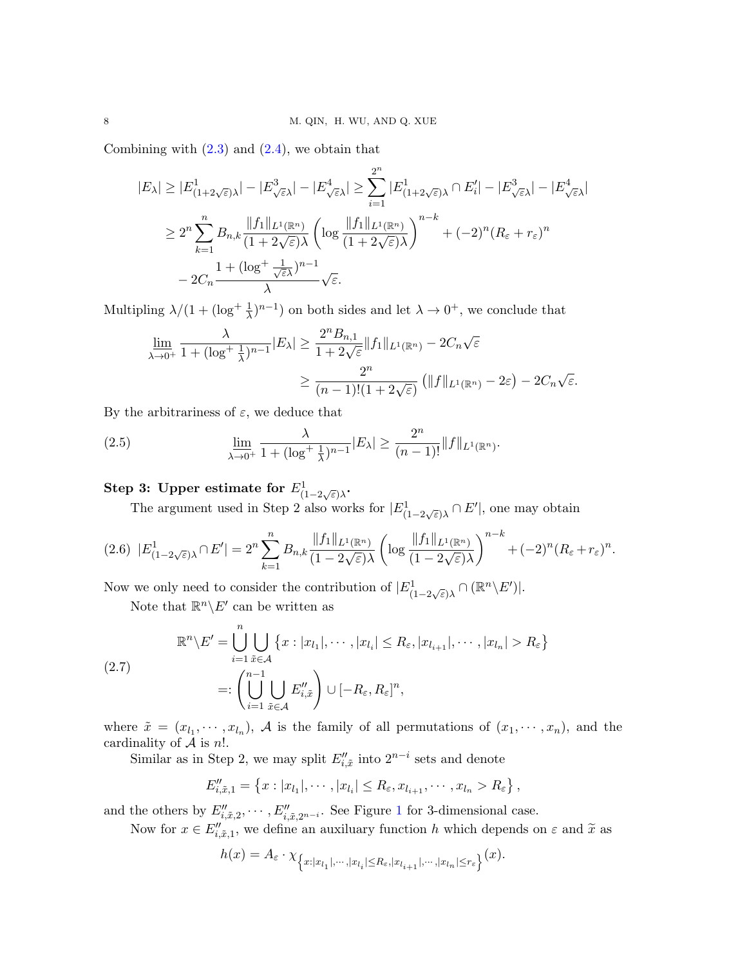Combining with  $(2.3)$  and  $(2.4)$ , we obtain that

$$
|E_{\lambda}| \ge |E_{(1+2\sqrt{\varepsilon})\lambda}^1| - |E_{\sqrt{\varepsilon}\lambda}^3| - |E_{\sqrt{\varepsilon}\lambda}^4| \ge \sum_{i=1}^{2^n} |E_{(1+2\sqrt{\varepsilon})\lambda}^1 \cap E_i'| - |E_{\sqrt{\varepsilon}\lambda}^3| - |E_{\sqrt{\varepsilon}\lambda}^4|
$$
  
\n
$$
\ge 2^n \sum_{k=1}^n B_{n,k} \frac{\|f_1\|_{L^1(\mathbb{R}^n)}}{(1+2\sqrt{\varepsilon})\lambda} \left( \log \frac{\|f_1\|_{L^1(\mathbb{R}^n)}}{(1+2\sqrt{\varepsilon})\lambda} \right)^{n-k} + (-2)^n (R_{\varepsilon} + r_{\varepsilon})^n
$$
  
\n
$$
-2C_n \frac{1 + (\log^+ \frac{1}{\sqrt{\varepsilon}\lambda})^{n-1}}{\lambda} \sqrt{\varepsilon}.
$$

Multipling  $\lambda/(1+(\log^+\frac{1}{\lambda})^{n-1})$  on both sides and let  $\lambda \to 0^+$ , we conclude that

$$
\underline{\lim}_{\lambda \to 0^+} \frac{\lambda}{1 + (\log^+ \frac{1}{\lambda})^{n-1}} |E_\lambda| \ge \frac{2^n B_{n,1}}{1 + 2\sqrt{\varepsilon}} \|f_1\|_{L^1(\mathbb{R}^n)} - 2C_n\sqrt{\varepsilon}
$$

$$
\ge \frac{2^n}{(n-1)!(1 + 2\sqrt{\varepsilon})} \left(\|f\|_{L^1(\mathbb{R}^n)} - 2\varepsilon\right) - 2C_n\sqrt{\varepsilon}.
$$

By the arbitrariness of  $\varepsilon$ , we deduce that

(2.5) 
$$
\lim_{\lambda \to 0^+} \frac{\lambda}{1 + (\log^+ \frac{1}{\lambda})^{n-1}} |E_\lambda| \ge \frac{2^n}{(n-1)!} ||f||_{L^1(\mathbb{R}^n)}.
$$

## Step 3: Upper estimate for  $E^1_{(1-2\sqrt{\varepsilon})\lambda}$ .

<span id="page-7-2"></span>The argument used in Step 2 also works for  $|E_{(1-2\sqrt{\varepsilon})\lambda}^1 \cap E'|$ , one may obtain

<span id="page-7-1"></span>
$$
(2.6)\ \ |E^1_{(1-2\sqrt{\varepsilon})\lambda}\cap E'|=2^n\sum_{k=1}^nB_{n,k}\frac{\|f_1\|_{L^1(\mathbb{R}^n)}}{(1-2\sqrt{\varepsilon})\lambda}\left(\log\frac{\|f_1\|_{L^1(\mathbb{R}^n)}}{(1-2\sqrt{\varepsilon})\lambda}\right)^{n-k}+(-2)^n(R_{\varepsilon}+r_{\varepsilon})^n.
$$

Now we only need to consider the contribution of  $|E^1_{(1-2\sqrt{\varepsilon})\lambda} \cap (\mathbb{R}^n \backslash E')|$ .

<span id="page-7-0"></span>Note that  $\mathbb{R}^n \backslash E'$  can be written as

$$
\mathbb{R}^n \setminus E' = \bigcup_{i=1}^n \bigcup_{\tilde{x} \in \mathcal{A}} \{x : |x_{l_1}|, \cdots, |x_{l_i}| \le R_{\varepsilon}, |x_{l_{i+1}}|, \cdots, |x_{l_n}| > R_{\varepsilon}\}\
$$
  

$$
=:\left(\bigcup_{i=1}^{n-1} \bigcup_{\tilde{x} \in \mathcal{A}} E_{i,\tilde{x}}''\right) \cup [-R_{\varepsilon}, R_{\varepsilon}]^n,
$$

where  $\tilde{x} = (x_{l_1}, \dots, x_{l_n}), \mathcal{A}$  is the family of all permutations of  $(x_1, \dots, x_n),$  and the cardinality of  $A$  is  $n!$ .

Similar as in Step 2, we may split  $E''_{i,\tilde{x}}$  into  $2^{n-i}$  sets and denote

$$
E''_{i,\tilde{x},1} = \left\{ x : |x_{l_1}|, \cdots, |x_{l_i}| \leq R_{\varepsilon}, x_{l_{i+1}}, \cdots, x_{l_n} > R_{\varepsilon} \right\},\,
$$

and the others by  $E''_{i,\tilde{x},2}, \cdots, E''_{i,\tilde{x},2^{n-i}}$ . See Figure [1](#page-8-0) for 3-dimensional case.

Now for  $x \in E''_{i,\tilde{x},1}$ , we define an auxiluary function h which depends on  $\varepsilon$  and  $\tilde{x}$  as

$$
h(x) = A_{\varepsilon} \cdot \chi_{\left\{x:|x_{l_1}|,\cdots,|x_{l_i}| \le R_{\varepsilon},|x_{l_{i+1}}|,\cdots,|x_{l_n}| \le r_{\varepsilon}\right\}}(x).
$$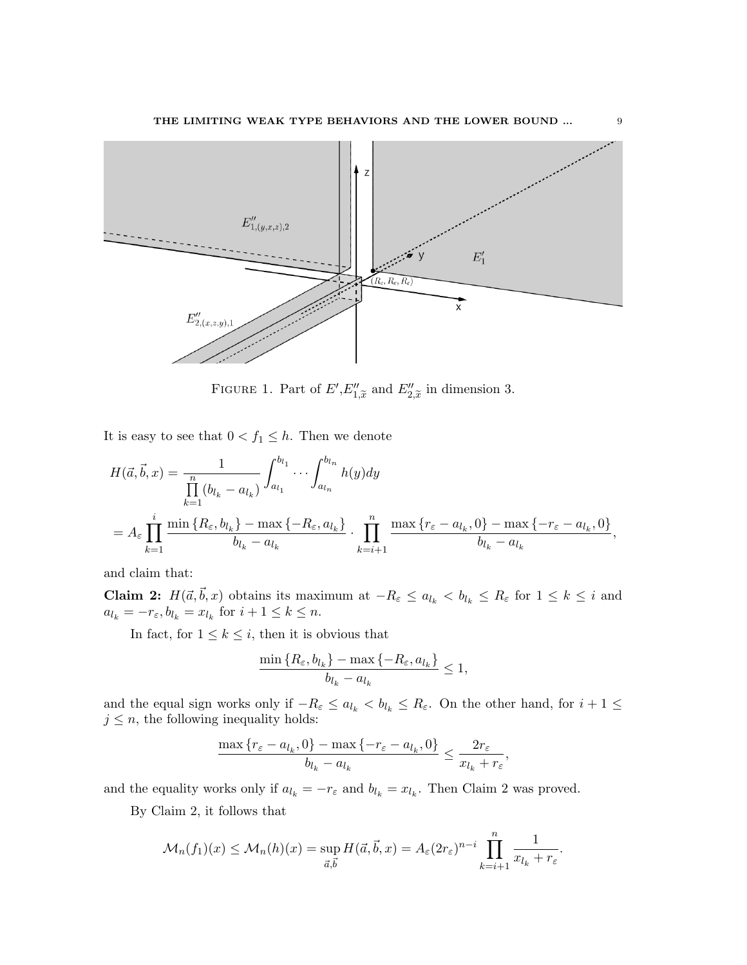

<span id="page-8-0"></span>FIGURE 1. Part of  $E', E''_{1,\tilde{x}}$  and  $E''_{2,\tilde{x}}$  in dimension 3.

It is easy to see that  $0 < f_1 \leq h$ . Then we denote

$$
H(\vec{a}, \vec{b}, x) = \frac{1}{\prod_{k=1}^{n} (b_{l_k} - a_{l_k})} \int_{a_{l_1}}^{b_{l_1}} \cdots \int_{a_{l_n}}^{b_{l_n}} h(y) dy
$$
  
=  $A_{\varepsilon} \prod_{k=1}^{i} \frac{\min\{R_{\varepsilon}, b_{l_k}\} - \max\{-R_{\varepsilon}, a_{l_k}\}}{b_{l_k} - a_{l_k}} \cdot \prod_{k=i+1}^{n} \frac{\max\{r_{\varepsilon} - a_{l_k}, 0\} - \max\{-r_{\varepsilon} - a_{l_k}, 0\}}{b_{l_k} - a_{l_k}},$ 

and claim that:

**Claim 2:**  $H(\vec{a}, \vec{b}, x)$  obtains its maximum at  $-R_{\varepsilon} \le a_{l_k} < b_{l_k} \le R_{\varepsilon}$  for  $1 \le k \le i$  and  $a_{l_k} = -r_{\varepsilon}, b_{l_k} = x_{l_k}$  for  $i + 1 \leq k \leq n$ .

In fact, for  $1 \leq k \leq i$ , then it is obvious that

$$
\frac{\min\left\{R_{\varepsilon}, b_{l_k}\right\} - \max\left\{-R_{\varepsilon}, a_{l_k}\right\}}{b_{l_k} - a_{l_k}} \le 1,
$$

and the equal sign works only if  $-R_{\varepsilon} \le a_{l_k} < b_{l_k} \le R_{\varepsilon}$ . On the other hand, for  $i + 1 \le$  $j \leq n$ , the following inequality holds:

$$
\frac{\max\left\{r_{\varepsilon} - a_{l_k}, 0\right\} - \max\left\{-r_{\varepsilon} - a_{l_k}, 0\right\}}{b_{l_k} - a_{l_k}} \le \frac{2r_{\varepsilon}}{x_{l_k} + r_{\varepsilon}},
$$

and the equality works only if  $a_{l_k} = -r_{\varepsilon}$  and  $b_{l_k} = x_{l_k}$ . Then Claim 2 was proved.

By Claim 2, it follows that

$$
\mathcal{M}_n(f_1)(x) \le \mathcal{M}_n(h)(x) = \sup_{\vec{a}, \vec{b}} H(\vec{a}, \vec{b}, x) = A_{\varepsilon} (2r_{\varepsilon})^{n-i} \prod_{k=i+1}^n \frac{1}{x_{l_k} + r_{\varepsilon}}.
$$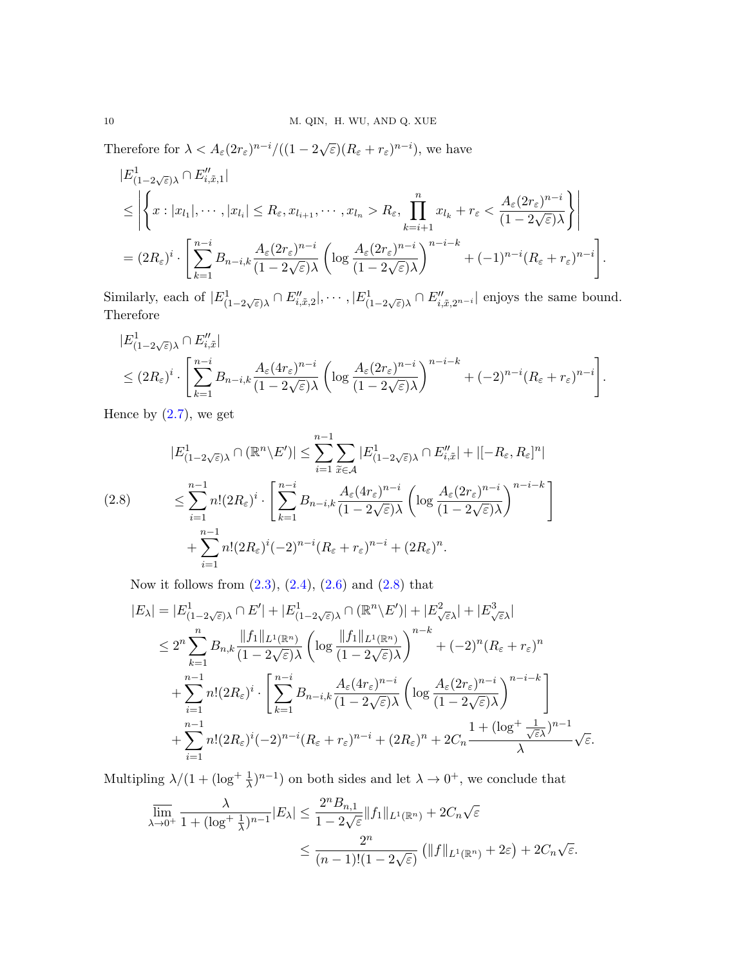Therefore for  $\lambda < A_{\varepsilon}(2r_{\varepsilon})^{n-i}/((1-2\sqrt{\varepsilon})(R_{\varepsilon}+r_{\varepsilon})^{n-i}),$  we have

$$
|E_{(1-2\sqrt{\varepsilon})\lambda}^{1} \cap E_{i,\tilde{x},1}''|
$$
  
\n
$$
\leq \left| \left\{ x : |x_{l_1}|, \cdots, |x_{l_i}| \leq R_{\varepsilon}, x_{l_{i+1}}, \cdots, x_{l_n} > R_{\varepsilon}, \prod_{k=i+1}^n x_{l_k} + r_{\varepsilon} < \frac{A_{\varepsilon}(2r_{\varepsilon})^{n-i}}{(1-2\sqrt{\varepsilon})\lambda} \right\} \right|
$$
  
\n
$$
= (2R_{\varepsilon})^i \cdot \left[ \sum_{k=1}^{n-i} B_{n-i,k} \frac{A_{\varepsilon}(2r_{\varepsilon})^{n-i}}{(1-2\sqrt{\varepsilon})\lambda} \left( \log \frac{A_{\varepsilon}(2r_{\varepsilon})^{n-i}}{(1-2\sqrt{\varepsilon})\lambda} \right)^{n-i-k} + (-1)^{n-i} (R_{\varepsilon} + r_{\varepsilon})^{n-i} \right].
$$

Similarly, each of  $|E^1_{(1-2\sqrt{\varepsilon})\lambda} \cap E''_{i,\tilde{x},2}|, \cdots, |E^1_{(1-2\sqrt{\varepsilon})\lambda} \cap E''_{i,\tilde{x},2^{n-i}}|$  enjoys the same bound. Therefore

$$
|E_{(1-2\sqrt{\varepsilon})\lambda}^1 \cap E_{i,\tilde{x}}''|
$$
  
\n
$$
\leq (2R_{\varepsilon})^i \cdot \left[ \sum_{k=1}^{n-i} B_{n-i,k} \frac{A_{\varepsilon} (4r_{\varepsilon})^{n-i}}{(1-2\sqrt{\varepsilon})\lambda} \left( \log \frac{A_{\varepsilon} (2r_{\varepsilon})^{n-i}}{(1-2\sqrt{\varepsilon})\lambda} \right)^{n-i-k} + (-2)^{n-i} (R_{\varepsilon} + r_{\varepsilon})^{n-i} \right].
$$

Hence by  $(2.7)$ , we get

<span id="page-9-0"></span>
$$
|E_{(1-2\sqrt{\varepsilon})\lambda}^{1} \cap (\mathbb{R}^{n} \setminus E')| \leq \sum_{i=1}^{n-1} \sum_{\tilde{x} \in \mathcal{A}} |E_{(1-2\sqrt{\varepsilon})\lambda}^{1} \cap E''_{i,\tilde{x}}| + |[-R_{\varepsilon}, R_{\varepsilon}]^{n}|
$$
  
(2.8)  

$$
\leq \sum_{i=1}^{n-1} n!(2R_{\varepsilon})^{i} \cdot \left[ \sum_{k=1}^{n-i} B_{n-i,k} \frac{A_{\varepsilon}(4r_{\varepsilon})^{n-i}}{(1-2\sqrt{\varepsilon})\lambda} \left( \log \frac{A_{\varepsilon}(2r_{\varepsilon})^{n-i}}{(1-2\sqrt{\varepsilon})\lambda} \right)^{n-i-k} \right]
$$

$$
+ \sum_{i=1}^{n-1} n!(2R_{\varepsilon})^{i}(-2)^{n-i}(R_{\varepsilon} + r_{\varepsilon})^{n-i} + (2R_{\varepsilon})^{n}.
$$

Now it follows from  $(2.3)$ ,  $(2.4)$ ,  $(2.6)$  and  $(2.8)$  that

$$
|E_{\lambda}| = |E_{(1-2\sqrt{\varepsilon})\lambda}^{1} \cap E'| + |E_{(1-2\sqrt{\varepsilon})\lambda}^{1} \cap (\mathbb{R}^{n} \setminus E')| + |E_{\sqrt{\varepsilon}\lambda}^{2}| + |E_{\sqrt{\varepsilon}\lambda}^{3}|
$$
  
\n
$$
\leq 2^{n} \sum_{k=1}^{n} B_{n,k} \frac{\|f_{1}\|_{L^{1}(\mathbb{R}^{n})}}{(1-2\sqrt{\varepsilon})\lambda} \left(\log \frac{\|f_{1}\|_{L^{1}(\mathbb{R}^{n})}}{(1-2\sqrt{\varepsilon})\lambda}\right)^{n-k} + (-2)^{n} (R_{\varepsilon} + r_{\varepsilon})^{n}
$$
  
\n
$$
+ \sum_{i=1}^{n-1} n! (2R_{\varepsilon})^{i} \cdot \left[\sum_{k=1}^{n-i} B_{n-i,k} \frac{A_{\varepsilon}(4r_{\varepsilon})^{n-i}}{(1-2\sqrt{\varepsilon})\lambda} \left(\log \frac{A_{\varepsilon}(2r_{\varepsilon})^{n-i}}{(1-2\sqrt{\varepsilon})\lambda}\right)^{n-i-k}\right]
$$
  
\n
$$
+ \sum_{i=1}^{n-1} n! (2R_{\varepsilon})^{i} (-2)^{n-i} (R_{\varepsilon} + r_{\varepsilon})^{n-i} + (2R_{\varepsilon})^{n} + 2C_{n} \frac{1 + (\log^{+} \frac{1}{\sqrt{\varepsilon}\lambda})^{n-1}}{\lambda} \sqrt{\varepsilon}.
$$

Multipling  $\lambda/(1+(\log^+\frac{1}{\lambda})^{n-1})$  on both sides and let  $\lambda \to 0^+$ , we conclude that

$$
\overline{\lim}_{\lambda \to 0^+} \frac{\lambda}{1 + (\log^+ \frac{1}{\lambda})^{n-1}} |E_\lambda| \le \frac{2^n B_{n,1}}{1 - 2\sqrt{\varepsilon}} \|f_1\|_{L^1(\mathbb{R}^n)} + 2C_n\sqrt{\varepsilon}
$$

$$
\le \frac{2^n}{(n-1)!(1 - 2\sqrt{\varepsilon})} \left(\|f\|_{L^1(\mathbb{R}^n)} + 2\varepsilon\right) + 2C_n\sqrt{\varepsilon}.
$$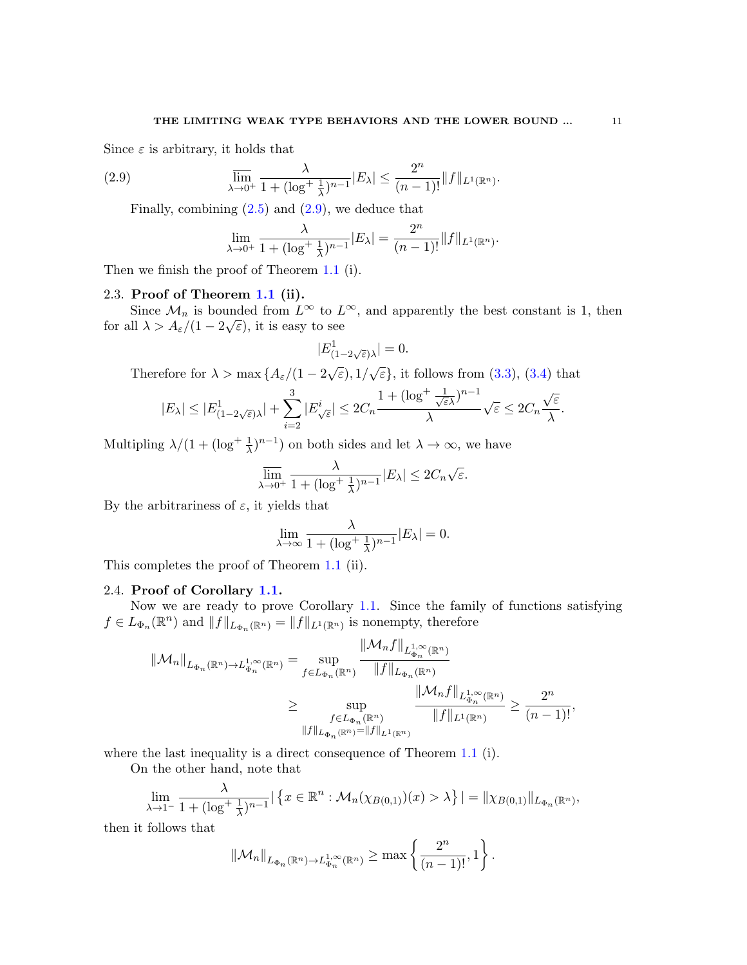Since  $\varepsilon$  is arbitrary, it holds that

(2.9) 
$$
\overline{\lim}_{\lambda \to 0^+} \frac{\lambda}{1 + (\log^+ \frac{1}{\lambda})^{n-1}} |E_\lambda| \leq \frac{2^n}{(n-1)!} \|f\|_{L^1(\mathbb{R}^n)}.
$$

Finally, combining  $(2.5)$  and  $(2.9)$ , we deduce that

<span id="page-10-0"></span>
$$
\lim_{\lambda \to 0^+} \frac{\lambda}{1 + (\log^+ \frac{1}{\lambda})^{n-1}} |E_{\lambda}| = \frac{2^n}{(n-1)!} ||f||_{L^1(\mathbb{R}^n)}.
$$

Then we finish the proof of Theorem [1.1](#page-2-0) (i).

#### 2.3. Proof of Theorem [1.1](#page-2-0) (ii).

Since  $\mathcal{M}_n$  is bounded from  $L^{\infty}$  to  $L^{\infty}$ , and apparently the best constant is 1, then for all  $\lambda > A_{\varepsilon}/(1-2\sqrt{\varepsilon})$ , it is easy to see

$$
|E^1_{(1-2\sqrt{\varepsilon})\lambda}| = 0.
$$

Therefore for  $\lambda > \max\left\{A_{\varepsilon}/(1-2\sqrt{\varepsilon}), 1/\sqrt{\varepsilon}\right\}$ , it follows from [\(3.3\)](#page-12-0), [\(3.4\)](#page-13-0) that

$$
|E_\lambda|\leq |E_{(1-2\sqrt{\varepsilon})\lambda}^1|+\sum_{i=2}^3|E_{\sqrt{\varepsilon}}^i|\leq 2C_n\frac{1+(\log^+\frac{1}{\sqrt{\varepsilon}\lambda})^{n-1}}{\lambda}\sqrt{\varepsilon}\leq 2C_n\frac{\sqrt{\varepsilon}}{\lambda}.
$$

Multipling  $\lambda/(1+(\log^+\frac{1}{\lambda})^{n-1})$  on both sides and let  $\lambda \to \infty$ , we have

$$
\overline{\lim}_{\lambda \to 0^+} \frac{\lambda}{1 + (\log^+ \frac{1}{\lambda})^{n-1}} |E_\lambda| \leq 2C_n \sqrt{\varepsilon}.
$$

By the arbitrariness of  $\varepsilon$ , it yields that

$$
\lim_{\lambda \to \infty} \frac{\lambda}{1 + (\log^+ \frac{1}{\lambda})^{n-1}} |E_\lambda| = 0.
$$

This completes the proof of Theorem [1.1](#page-2-0) (ii).

### 2.4. Proof of Corollary [1.1.](#page-2-1)

Now we are ready to prove Corollary [1.1.](#page-2-1) Since the family of functions satisfying  $f \in L_{\Phi_n}(\mathbb{R}^n)$  and  $||f||_{L_{\Phi_n}(\mathbb{R}^n)} = ||f||_{L^1(\mathbb{R}^n)}$  is nonempty, therefore

$$
\|\mathcal{M}_{n}\|_{L_{\Phi_{n}}(\mathbb{R}^{n})\to L_{\Phi_{n}}^{1,\infty}(\mathbb{R}^{n})} = \sup_{f\in L_{\Phi_{n}}(\mathbb{R}^{n})} \frac{\|\mathcal{M}_{n}f\|_{L_{\Phi_{n}}^{1,\infty}(\mathbb{R}^{n})}}{\|f\|_{L_{\Phi_{n}}(\mathbb{R}^{n})}}}{\sum_{\substack{f\in L_{\Phi_{n}}(\mathbb{R}^{n})\\ \|f\|_{L_{\Phi_{n}}(\mathbb{R}^{n})}=\|f\|_{L^{1}(\mathbb{R}^{n})}}}\frac{\|\mathcal{M}_{n}f\|_{L_{\Phi_{n}}^{1,\infty}(\mathbb{R}^{n})}}{\|f\|_{L^{1}(\mathbb{R}^{n})}}}{\|f\|_{L^{1}(\mathbb{R}^{n})}} \geq \frac{2^{n}}{(n-1)!},
$$

where the last inequality is a direct consequence of Theorem [1.1](#page-2-0) (i).

On the other hand, note that

$$
\lim_{\lambda \to 1^{-}} \frac{\lambda}{1 + (\log^{+} \frac{1}{\lambda})^{n-1}} \left| \left\{ x \in \mathbb{R}^{n} : \mathcal{M}_{n}(\chi_{B(0,1)})(x) > \lambda \right\} \right| = ||\chi_{B(0,1)}||_{L_{\Phi_{n}}(\mathbb{R}^{n})},
$$

then it follows that

$$
\|\mathcal{M}_n\|_{L_{\Phi_n}(\mathbb{R}^n)\to L_{\Phi_n}^{1,\infty}(\mathbb{R}^n)} \geq \max\left\{\frac{2^n}{(n-1)!},1\right\}.
$$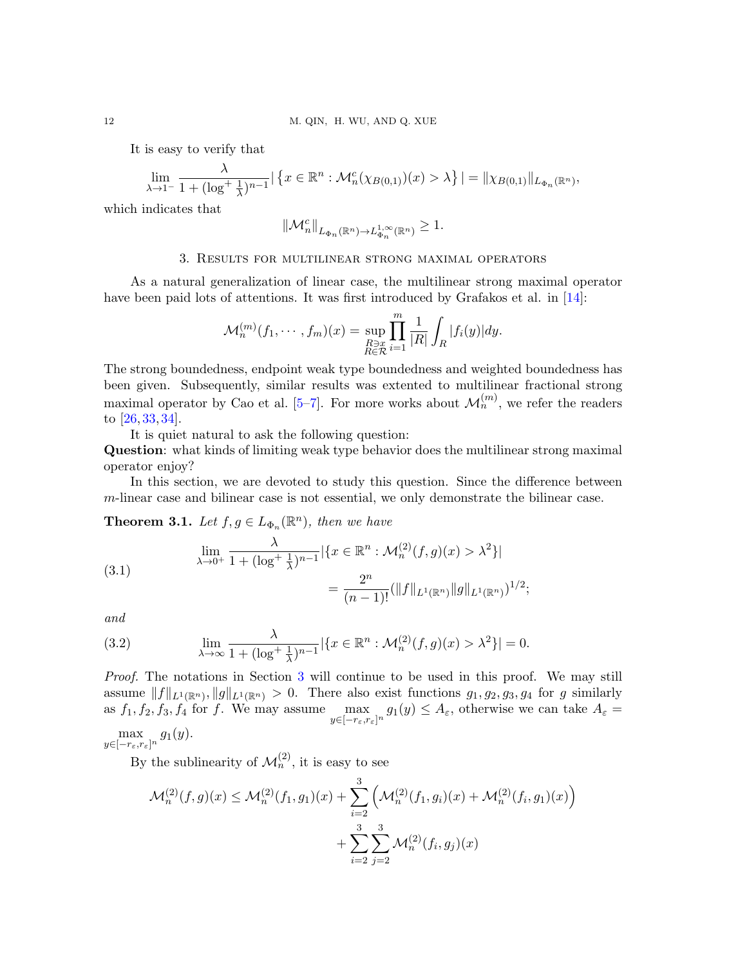It is easy to verify that

$$
\lim_{\lambda \to 1^{-}} \frac{\lambda}{1 + (\log^{+} \frac{1}{\lambda})^{n-1}} | \{ x \in \mathbb{R}^{n} : \mathcal{M}_{n}^{c}(\chi_{B(0,1)})(x) > \lambda \} | = \| \chi_{B(0,1)} \|_{L_{\Phi_{n}}(\mathbb{R}^{n})},
$$

which indicates that

$$
\|\mathcal{M}_n^c\|_{L_{\Phi_n}(\mathbb{R}^n)\to L_{\Phi_n}^{1,\infty}(\mathbb{R}^n)}\geq 1.
$$

### 3. Results for multilinear strong maximal operators

<span id="page-11-0"></span>As a natural generalization of linear case, the multilinear strong maximal operator have been paid lots of attentions. It was first introduced by Grafakos et al. in [\[14\]](#page-16-13):

$$
\mathcal{M}_n^{(m)}(f_1,\dots,f_m)(x)=\sup_{\substack{R\ni x\\R\in\mathcal{R}}} \prod_{i=1}^m \frac{1}{|R|}\int_R |f_i(y)|dy.
$$

The strong boundedness, endpoint weak type boundedness and weighted boundedness has been given. Subsequently, similar results was extented to multilinear fractional strong maximal operator by Cao et al.  $[5-7]$  $[5-7]$ . For more works about  $\mathcal{M}_n^{(m)}$ , we refer the readers to [\[26,](#page-17-11) [33,](#page-17-12) [34\]](#page-17-13).

It is quiet natural to ask the following question:

Question: what kinds of limiting weak type behavior does the multilinear strong maximal operator enjoy?

In this section, we are devoted to study this question. Since the difference between m-linear case and bilinear case is not essential, we only demonstrate the bilinear case.

**Theorem 3.1.** Let  $f, g \in L_{\Phi_n}(\mathbb{R}^n)$ , then we have

<span id="page-11-1"></span>(3.1) 
$$
\lim_{\lambda \to 0^+} \frac{\lambda}{1 + (\log^+ \frac{1}{\lambda})^{n-1}} |\{x \in \mathbb{R}^n : \mathcal{M}_n^{(2)}(f, g)(x) > \lambda^2\}|
$$

$$
= \frac{2^n}{(n-1)!} (||f||_{L^1(\mathbb{R}^n)} ||g||_{L^1(\mathbb{R}^n)})^{1/2};
$$

and

<span id="page-11-2"></span>(3.2) 
$$
\lim_{\lambda \to \infty} \frac{\lambda}{1 + (\log^+ \frac{1}{\lambda})^{n-1}} |\{x \in \mathbb{R}^n : \mathcal{M}_n^{(2)}(f, g)(x) > \lambda^2\}| = 0.
$$

Proof. The notations in Section [3](#page-11-0) will continue to be used in this proof. We may still assume  $||f||_{L^1(\mathbb{R}^n)}$ ,  $||g||_{L^1(\mathbb{R}^n)} > 0$ . There also exist functions  $g_1, g_2, g_3, g_4$  for g similarly as  $f_1, f_2, f_3, f_4$  for f. We may assume  $\max_{y \in [-r_{\varepsilon}, r_{\varepsilon}]^n} g_1(y) \leq A_{\varepsilon}$ , otherwise we can take  $A_{\varepsilon} =$ 

 $\max_{y \in [-r_\varepsilon, r_\varepsilon]^n} g_1(y).$ 

By the sublinearity of  $\mathcal{M}_n^{(2)}$ , it is easy to see

$$
\mathcal{M}_n^{(2)}(f,g)(x) \leq \mathcal{M}_n^{(2)}(f_1,g_1)(x) + \sum_{i=2}^3 \left( \mathcal{M}_n^{(2)}(f_1,g_i)(x) + \mathcal{M}_n^{(2)}(f_i,g_1)(x) \right) + \sum_{i=2}^3 \sum_{j=2}^3 \mathcal{M}_n^{(2)}(f_i,g_j)(x)
$$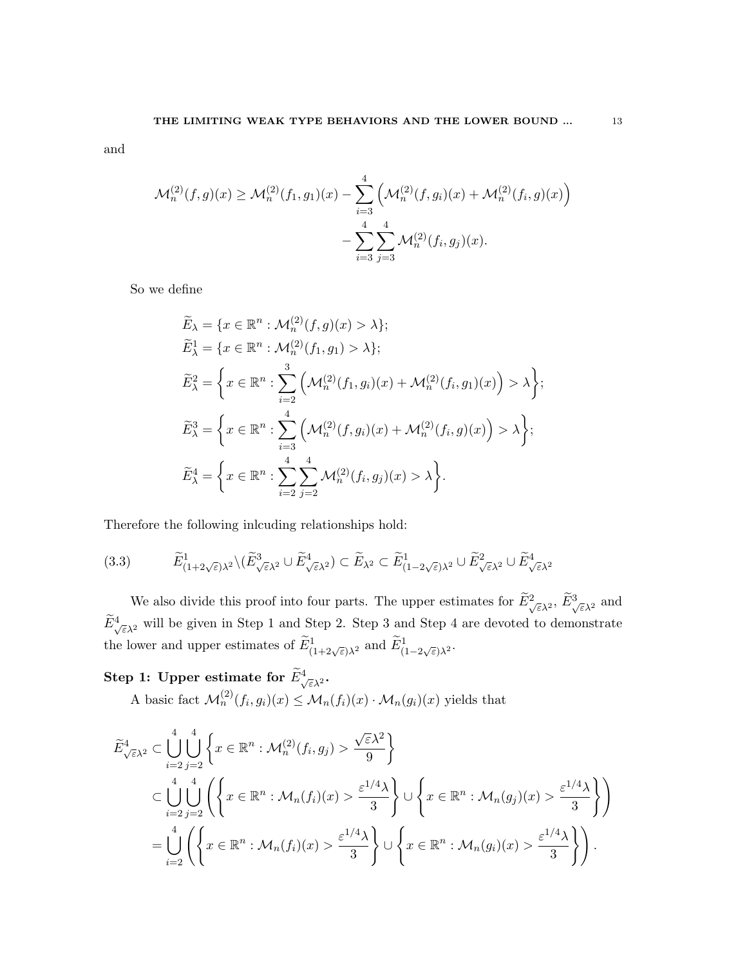and

$$
\mathcal{M}_n^{(2)}(f,g)(x) \ge \mathcal{M}_n^{(2)}(f_1,g_1)(x) - \sum_{i=3}^4 \left( \mathcal{M}_n^{(2)}(f,g_i)(x) + \mathcal{M}_n^{(2)}(f_i,g)(x) \right) - \sum_{i=3}^4 \sum_{j=3}^4 \mathcal{M}_n^{(2)}(f_i,g_j)(x).
$$

So we define

$$
\widetilde{E}_{\lambda} = \{x \in \mathbb{R}^n : \mathcal{M}_n^{(2)}(f, g)(x) > \lambda\};
$$
\n
$$
\widetilde{E}_{\lambda}^1 = \{x \in \mathbb{R}^n : \mathcal{M}_n^{(2)}(f_1, g_1) > \lambda\};
$$
\n
$$
\widetilde{E}_{\lambda}^2 = \left\{x \in \mathbb{R}^n : \sum_{i=2}^3 \left(\mathcal{M}_n^{(2)}(f_1, g_i)(x) + \mathcal{M}_n^{(2)}(f_i, g_1)(x)\right) > \lambda\right\};
$$
\n
$$
\widetilde{E}_{\lambda}^3 = \left\{x \in \mathbb{R}^n : \sum_{i=3}^4 \left(\mathcal{M}_n^{(2)}(f, g_i)(x) + \mathcal{M}_n^{(2)}(f_i, g)(x)\right) > \lambda\right\};
$$
\n
$$
\widetilde{E}_{\lambda}^4 = \left\{x \in \mathbb{R}^n : \sum_{i=2}^4 \sum_{j=2}^4 \mathcal{M}_n^{(2)}(f_i, g_j)(x) > \lambda\right\}.
$$

Therefore the following inlcuding relationships hold:

<span id="page-12-0"></span>
$$
(3.3) \qquad \widetilde{E}^1_{(1+2\sqrt{\varepsilon})\lambda^2} \setminus (\widetilde{E}^3_{\sqrt{\varepsilon}\lambda^2} \cup \widetilde{E}^4_{\sqrt{\varepsilon}\lambda^2}) \subset \widetilde{E}_{\lambda^2} \subset \widetilde{E}^1_{(1-2\sqrt{\varepsilon})\lambda^2} \cup \widetilde{E}^2_{\sqrt{\varepsilon}\lambda^2} \cup \widetilde{E}^4_{\sqrt{\varepsilon}\lambda^2}
$$

We also divide this proof into four parts. The upper estimates for  $\tilde{E}^2_{\sqrt{\varepsilon}\lambda^2}$ ,  $\tilde{E}^3_{\sqrt{\varepsilon}\lambda^2}$  and  $\widetilde{E}^4_{\sqrt{\varepsilon}\lambda^2}$  will be given in Step 1 and Step 2. Step 3 and Step 4 are devoted to demonstrate the lower and upper estimates of  $\widetilde{E}^1_{(1+2\sqrt{\varepsilon})\lambda^2}$  and  $\widetilde{E}^1_{(1-2\sqrt{\varepsilon})\lambda^2}$ .

Step 1: Upper estimate for  $\widetilde{E}_{\sqrt{\varepsilon}\lambda^2}^4$ . A basic fact  $\mathcal{M}_n^{(2)}(f_i, g_i)(x) \leq \mathcal{M}_n(f_i)(x) \cdot \mathcal{M}_n(g_i)(x)$  yields that

$$
\widetilde{E}_{\sqrt{\varepsilon}\lambda^2}^4 \subset \bigcup_{i=2}^4 \bigcup_{j=2}^4 \left\{ x \in \mathbb{R}^n : \mathcal{M}_n^{(2)}(f_i, g_j) > \frac{\sqrt{\varepsilon}\lambda^2}{9} \right\}
$$
\n
$$
\subset \bigcup_{i=2}^4 \bigcup_{j=2}^4 \left\{ \left\{ x \in \mathbb{R}^n : \mathcal{M}_n(f_i)(x) > \frac{\varepsilon^{1/4}\lambda}{3} \right\} \cup \left\{ x \in \mathbb{R}^n : \mathcal{M}_n(g_j)(x) > \frac{\varepsilon^{1/4}\lambda}{3} \right\} \right\}
$$
\n
$$
= \bigcup_{i=2}^4 \left\{ \left\{ x \in \mathbb{R}^n : \mathcal{M}_n(f_i)(x) > \frac{\varepsilon^{1/4}\lambda}{3} \right\} \cup \left\{ x \in \mathbb{R}^n : \mathcal{M}_n(g_i)(x) > \frac{\varepsilon^{1/4}\lambda}{3} \right\} \right\}.
$$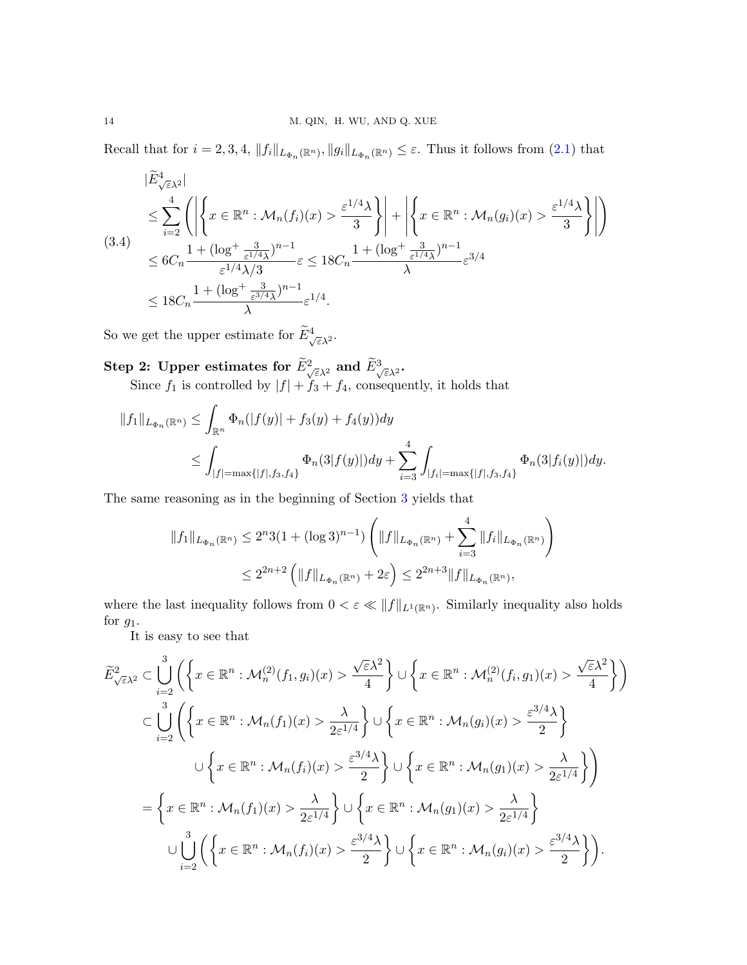Recall that for  $i = 2, 3, 4$ ,  $||f_i||_{L_{\Phi_n}(\mathbb{R}^n)}$ ,  $||g_i||_{L_{\Phi_n}(\mathbb{R}^n)} \leq \varepsilon$ . Thus it follows from  $(2.1)$  that

<span id="page-13-0"></span>
$$
|\widetilde{E}_{\sqrt{\varepsilon}\lambda^{2}}^{\mathcal{A}}|
$$
\n
$$
\leq \sum_{i=2}^{4} \left( \left| \left\{ x \in \mathbb{R}^{n} : \mathcal{M}_{n}(f_{i})(x) > \frac{\varepsilon^{1/4}\lambda}{3} \right\} \right| + \left| \left\{ x \in \mathbb{R}^{n} : \mathcal{M}_{n}(g_{i})(x) > \frac{\varepsilon^{1/4}\lambda}{3} \right\} \right| \right)
$$
\n
$$
\leq 6C_{n} \frac{1 + (\log^{+} \frac{3}{\varepsilon^{1/4}\lambda})^{n-1}}{\varepsilon^{1/4}\lambda/3} \varepsilon \leq 18C_{n} \frac{1 + (\log^{+} \frac{3}{\varepsilon^{1/4}\lambda})^{n-1}}{\lambda} \varepsilon^{3/4}
$$
\n
$$
\leq 18C_{n} \frac{1 + (\log^{+} \frac{3}{\varepsilon^{3/4}\lambda})^{n-1}}{\lambda} \varepsilon^{1/4}.
$$

So we get the upper estimate for  $\widetilde{E}_{\sqrt{\varepsilon}\lambda^2}^4$ .

# Step 2: Upper estimates for  $\widetilde{E}_{\sqrt{\varepsilon}\lambda^2}^2$  and  $\widetilde{E}_{\sqrt{\varepsilon}\lambda^2}^3$ .

Since  $f_1$  is controlled by  $|f| + f_3 + f_4$ , consequently, it holds that

$$
||f_1||_{L_{\Phi_n}(\mathbb{R}^n)} \le \int_{\mathbb{R}^n} \Phi_n(|f(y)| + f_3(y) + f_4(y)) dy
$$
  
\n
$$
\le \int_{|f| = \max\{|f|, f_3, f_4\}} \Phi_n(3|f(y)|) dy + \sum_{i=3}^4 \int_{|f_i| = \max\{|f|, f_3, f_4\}} \Phi_n(3|f_i(y)|) dy.
$$

The same reasoning as in the beginning of Section [3](#page-11-0) yields that

$$
||f_1||_{L_{\Phi_n}(\mathbb{R}^n)} \le 2^n 3(1 + (\log 3)^{n-1}) \left( ||f||_{L_{\Phi_n}(\mathbb{R}^n)} + \sum_{i=3}^4 ||f_i||_{L_{\Phi_n}(\mathbb{R}^n)} \right)
$$
  

$$
\le 2^{2n+2} \left( ||f||_{L_{\Phi_n}(\mathbb{R}^n)} + 2\varepsilon \right) \le 2^{2n+3} ||f||_{L_{\Phi_n}(\mathbb{R}^n)},
$$

where the last inequality follows from  $0 < \varepsilon \ll ||f||_{L^1(\mathbb{R}^n)}$ . Similarly inequality also holds for  $g_1$ .

It is easy to see that

$$
\widetilde{E}_{\sqrt{\varepsilon}\lambda^2}^2 \subset \bigcup_{i=2}^3 \left( \left\{ x \in \mathbb{R}^n : \mathcal{M}_n^{(2)}(f_1, g_i)(x) > \frac{\sqrt{\varepsilon}\lambda^2}{4} \right\} \cup \left\{ x \in \mathbb{R}^n : \mathcal{M}_n^{(2)}(f_i, g_1)(x) > \frac{\sqrt{\varepsilon}\lambda^2}{4} \right\} \right)
$$
\n
$$
\subset \bigcup_{i=2}^3 \left( \left\{ x \in \mathbb{R}^n : \mathcal{M}_n(f_1)(x) > \frac{\lambda}{2\varepsilon^{1/4}} \right\} \cup \left\{ x \in \mathbb{R}^n : \mathcal{M}_n(g_i)(x) > \frac{\varepsilon^{3/4}\lambda}{2} \right\}
$$
\n
$$
\cup \left\{ x \in \mathbb{R}^n : \mathcal{M}_n(f_i)(x) > \frac{\varepsilon^{3/4}\lambda}{2} \right\} \cup \left\{ x \in \mathbb{R}^n : \mathcal{M}_n(g_1)(x) > \frac{\lambda}{2\varepsilon^{1/4}} \right\} \right)
$$
\n
$$
= \left\{ x \in \mathbb{R}^n : \mathcal{M}_n(f_1)(x) > \frac{\lambda}{2\varepsilon^{1/4}} \right\} \cup \left\{ x \in \mathbb{R}^n : \mathcal{M}_n(g_1)(x) > \frac{\lambda}{2\varepsilon^{1/4}} \right\}
$$
\n
$$
\cup \bigcup_{i=2}^3 \left( \left\{ x \in \mathbb{R}^n : \mathcal{M}_n(f_i)(x) > \frac{\varepsilon^{3/4}\lambda}{2} \right\} \cup \left\{ x \in \mathbb{R}^n : \mathcal{M}_n(g_i)(x) > \frac{\varepsilon^{3/4}\lambda}{2} \right\} \right).
$$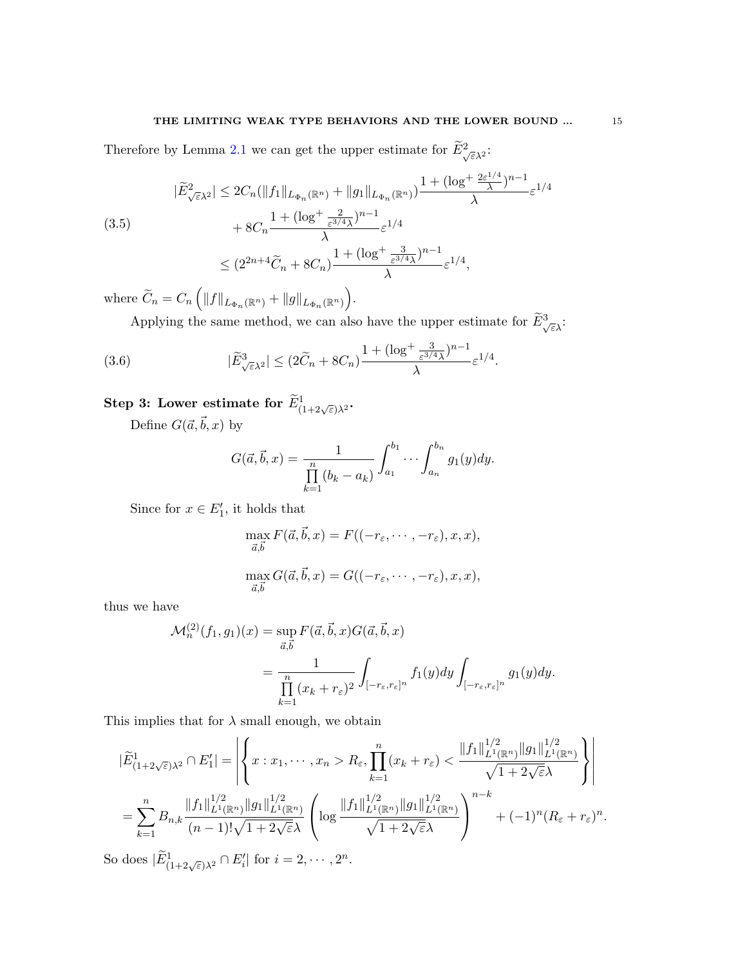## THE LIMITING WEAK TYPE BEHAVIORS AND THE LOWER BOUND  $\ldots$  15

Therefore by Lemma [2.1](#page-3-0) we can get the upper estimate for  $\widetilde{E}^2_{\sqrt{\varepsilon}\lambda^2}$ :

<span id="page-14-1"></span>
$$
|\widetilde{E}_{\sqrt{\varepsilon}\lambda^{2}}^{2}| \leq 2C_{n}(\|f_{1}\|_{L_{\Phi_{n}}(\mathbb{R}^{n})} + \|g_{1}\|_{L_{\Phi_{n}}(\mathbb{R}^{n})})\frac{1 + (\log^{+}\frac{2\varepsilon^{1/4}}{\lambda})^{n-1}}{\lambda}\varepsilon^{1/4} + 8C_{n}\frac{1 + (\log^{+}\frac{2}{\varepsilon^{3/4}\lambda})^{n-1}}{\lambda}\varepsilon^{1/4} \leq (2^{2n+4}\widetilde{C}_{n} + 8C_{n})\frac{1 + (\log^{+}\frac{3}{\varepsilon^{3/4}\lambda})^{n-1}}{\lambda}\varepsilon^{1/4},
$$

where  $\widetilde{C}_n = C_n \left( ||f||_{L_{\Phi_n}(\mathbb{R}^n)} + ||g||_{L_{\Phi_n}(\mathbb{R}^n)} \right)$ .

Applying the same method, we can also have the upper estimate for  $\widetilde{E}_{\sqrt{\varepsilon}\lambda}^3$ :

(3.6) 
$$
|\widetilde{E}_{\sqrt{\varepsilon}\lambda^2}^3| \leq (2\widetilde{C}_n + 8C_n)\frac{1+(\log^+\frac{3}{\varepsilon^{3/4}\lambda})^{n-1}}{\lambda}\varepsilon^{1/4}.
$$

# $\textbf{Step 3: Lower estimate for } \widetilde{E}^1_{(1+2\sqrt{\varepsilon})\lambda^2}.$

Define  $G(\vec{a}, \vec{b}, x)$  by

<span id="page-14-0"></span>
$$
G(\vec{a}, \vec{b}, x) = \frac{1}{\prod_{k=1}^{n} (b_k - a_k)} \int_{a_1}^{b_1} \cdots \int_{a_n}^{b_n} g_1(y) dy.
$$

Since for  $x \in E'_1$ , it holds that

$$
\max_{\vec{a},\vec{b}} F(\vec{a},\vec{b},x) = F((-r_{\varepsilon},\cdots,-r_{\varepsilon}),x,x),
$$

$$
\max_{\vec{a},\vec{b}} G(\vec{a},\vec{b},x) = G((-r_{\varepsilon},\cdots,-r_{\varepsilon}),x,x),
$$

thus we have

$$
\mathcal{M}_n^{(2)}(f_1, g_1)(x) = \sup_{\vec{a}, \vec{b}} F(\vec{a}, \vec{b}, x) G(\vec{a}, \vec{b}, x)
$$
  
= 
$$
\frac{1}{\prod_{k=1}^n (x_k + r_{\varepsilon})^2} \int_{[-r_{\varepsilon}, r_{\varepsilon}]^n} f_1(y) dy \int_{[-r_{\varepsilon}, r_{\varepsilon}]^n} g_1(y) dy.
$$

This implies that for  $\lambda$  small enough, we obtain

$$
|\widetilde{E}_{(1+2\sqrt{\varepsilon})\lambda^2}^1 \cap E_1'| = \left| \left\{ x : x_1, \cdots, x_n > R_{\varepsilon}, \prod_{k=1}^n (x_k + r_{\varepsilon}) < \frac{\|f_1\|_{L^1(\mathbb{R}^n)}^{1/2} \|g_1\|_{L^1(\mathbb{R}^n)}^{1/2}}{\sqrt{1 + 2\sqrt{\varepsilon}}\lambda} \right\} \right|
$$
  
= 
$$
\sum_{k=1}^n B_{n,k} \frac{\|f_1\|_{L^1(\mathbb{R}^n)}^{1/2} \|g_1\|_{L^1(\mathbb{R}^n)}^{1/2}}{(n-1)!\sqrt{1 + 2\sqrt{\varepsilon}}\lambda} \left( \log \frac{\|f_1\|_{L^1(\mathbb{R}^n)}^{1/2} \|g_1\|_{L^1(\mathbb{R}^n)}^{1/2}}{\sqrt{1 + 2\sqrt{\varepsilon}}\lambda} \right)^{n-k} + (-1)^n (R_{\varepsilon} + r_{\varepsilon})^n.
$$

So does  $|\widetilde{E}^1_{(1+2\sqrt{\varepsilon})\lambda^2} \cap E'_i|$  for  $i = 2, \cdots, 2^n$ .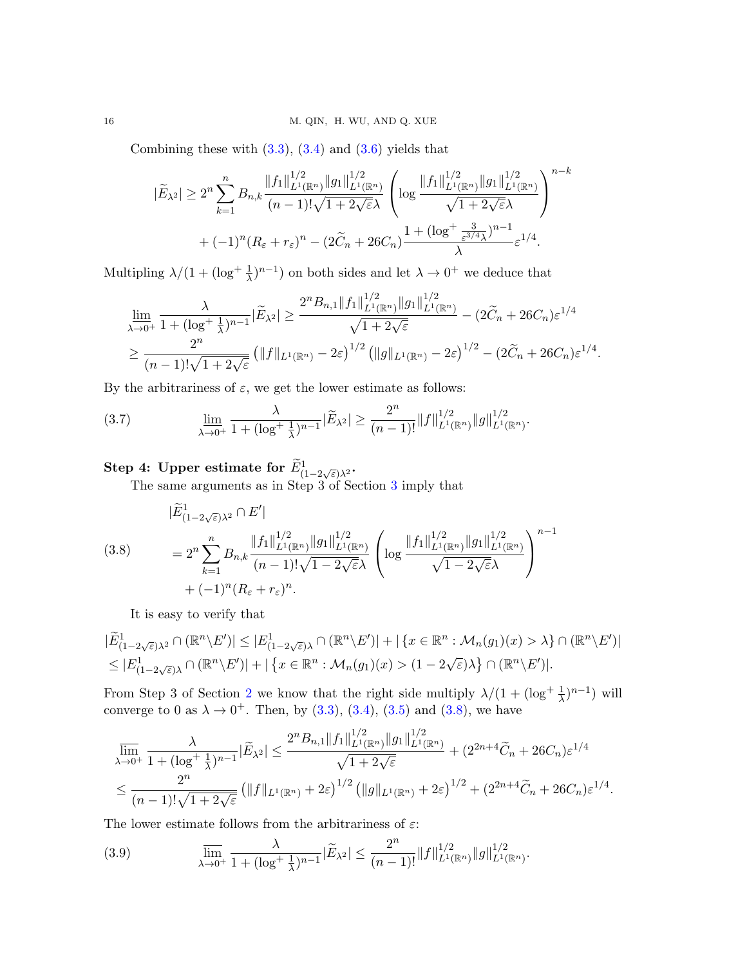Combining these with  $(3.3)$ ,  $(3.4)$  and  $(3.6)$  yields that

$$
|\widetilde{E}_{\lambda^2}| \ge 2^n \sum_{k=1}^n B_{n,k} \frac{\|f_1\|_{L^1(\mathbb{R}^n)}^{1/2} \|g_1\|_{L^1(\mathbb{R}^n)}^{1/2}}{(n-1)! \sqrt{1+2\sqrt{\varepsilon}} \lambda} \left( \log \frac{\|f_1\|_{L^1(\mathbb{R}^n)}^{1/2} \|g_1\|_{L^1(\mathbb{R}^n)}^{1/2}}{\sqrt{1+2\sqrt{\varepsilon}} \lambda} \right)^{n-k} + (-1)^n (R_{\varepsilon} + r_{\varepsilon})^n - (2\widetilde{C}_n + 26C_n) \frac{1 + (\log^+ \frac{3}{\varepsilon^{3/4} \lambda})^{n-1}}{\lambda} \varepsilon^{1/4}.
$$

Multipling  $\lambda/(1+(\log^+\frac{1}{\lambda})^{n-1})$  on both sides and let  $\lambda \to 0^+$  we deduce that

$$
\lim_{\lambda \to 0^+} \frac{\lambda}{1 + (\log^+ \frac{1}{\lambda})^{n-1}} |\widetilde{E}_{\lambda^2}| \ge \frac{2^n B_{n,1} \|f_1\|_{L^1(\mathbb{R}^n)}^{1/2} \|g_1\|_{L^1(\mathbb{R}^n)}^{1/2}}{\sqrt{1 + 2\sqrt{\varepsilon}}} - (2\widetilde{C}_n + 26C_n)\varepsilon^{1/4}
$$

$$
\ge \frac{2^n}{(n-1)!\sqrt{1 + 2\sqrt{\varepsilon}}} \left( \|f\|_{L^1(\mathbb{R}^n)} - 2\varepsilon \right)^{1/2} \left( \|g\|_{L^1(\mathbb{R}^n)} - 2\varepsilon \right)^{1/2} - (2\widetilde{C}_n + 26C_n)\varepsilon^{1/4}
$$

.

By the arbitrariness of  $\varepsilon$ , we get the lower estimate as follows:

<span id="page-15-1"></span>(3.7) 
$$
\lim_{\lambda \to 0^+} \frac{\lambda}{1 + (\log^+ \frac{1}{\lambda})^{n-1}} |\widetilde{E}_{\lambda^2}| \geq \frac{2^n}{(n-1)!} ||f||_{L^1(\mathbb{R}^n)}^{1/2} ||g||_{L^1(\mathbb{R}^n)}^{1/2}.
$$

# $\textbf{Step 4: Upper estimate for } \widetilde{E}^1_{(1-2\sqrt{\varepsilon})\lambda^2}.$

<span id="page-15-0"></span>The same arguments as in Step 3 of Section [3](#page-11-0) imply that

$$
|\widetilde{E}_{(1-2\sqrt{\varepsilon})\lambda^2}^1 \cap E'|
$$
\n
$$
(3.8) \qquad = 2^n \sum_{k=1}^n B_{n,k} \frac{\|f_1\|_{L^1(\mathbb{R}^n)}^{1/2} \|g_1\|_{L^1(\mathbb{R}^n)}^{1/2}}{(n-1)!\sqrt{1-2\sqrt{\varepsilon}\lambda}} \left( \log \frac{\|f_1\|_{L^1(\mathbb{R}^n)}^{1/2} \|g_1\|_{L^1(\mathbb{R}^n)}^{1/2}}{\sqrt{1-2\sqrt{\varepsilon}\lambda}} \right)^{n-1}
$$
\n
$$
+ (-1)^n (R_{\varepsilon} + r_{\varepsilon})^n.
$$

It is easy to verify that

$$
|\widetilde{E}_{(1-2\sqrt{\varepsilon})\lambda^2}^1 \cap (\mathbb{R}^n \setminus E')| \leq |E_{(1-2\sqrt{\varepsilon})\lambda}^1 \cap (\mathbb{R}^n \setminus E')| + |\{x \in \mathbb{R}^n : \mathcal{M}_n(g_1)(x) > \lambda\} \cap (\mathbb{R}^n \setminus E')|
$$
  
\$\leq |E\_{(1-2\sqrt{\varepsilon})\lambda}^1 \cap (\mathbb{R}^n \setminus E')| + |\{x \in \mathbb{R}^n : \mathcal{M}\_n(g\_1)(x) > (1-2\sqrt{\varepsilon})\lambda\} \cap (\mathbb{R}^n \setminus E')|.

From Step 3 of Section [2](#page-2-2) we know that the right side multiply  $\lambda/(1+(\log^+\frac{1}{\lambda})^{n-1})$  will converge to 0 as  $\lambda \to 0^+$ . Then, by [\(3.3\)](#page-12-0), [\(3.4\)](#page-13-0), [\(3.5\)](#page-14-1) and [\(3.8\)](#page-15-0), we have

$$
\overline{\lim}_{\lambda \to 0^+} \frac{\lambda}{1 + (\log^+ \frac{1}{\lambda})^{n-1}} |\widetilde{E}_{\lambda^2}| \le \frac{2^n B_{n,1} \|f_1\|_{L^1(\mathbb{R}^n)}^{1/2} \|g_1\|_{L^1(\mathbb{R}^n)}^{1/2}}{\sqrt{1 + 2\sqrt{\varepsilon}}} + (2^{2n+4}\widetilde{C}_n + 26C_n)\varepsilon^{1/4}
$$
  

$$
\le \frac{2^n}{(n-1)!\sqrt{1 + 2\sqrt{\varepsilon}}} \left(\|f\|_{L^1(\mathbb{R}^n)} + 2\varepsilon\right)^{1/2} \left(\|g\|_{L^1(\mathbb{R}^n)} + 2\varepsilon\right)^{1/2} + (2^{2n+4}\widetilde{C}_n + 26C_n)\varepsilon^{1/4}.
$$

The lower estimate follows from the arbitrariness of  $\varepsilon$ :

<span id="page-15-2"></span>(3.9) 
$$
\overline{\lim}_{\lambda \to 0^+} \frac{\lambda}{1 + (\log^+ \frac{1}{\lambda})^{n-1}} |\widetilde{E}_{\lambda^2}| \leq \frac{2^n}{(n-1)!} ||f||_{L^1(\mathbb{R}^n)}^{1/2} ||g||_{L^1(\mathbb{R}^n)}^{1/2}.
$$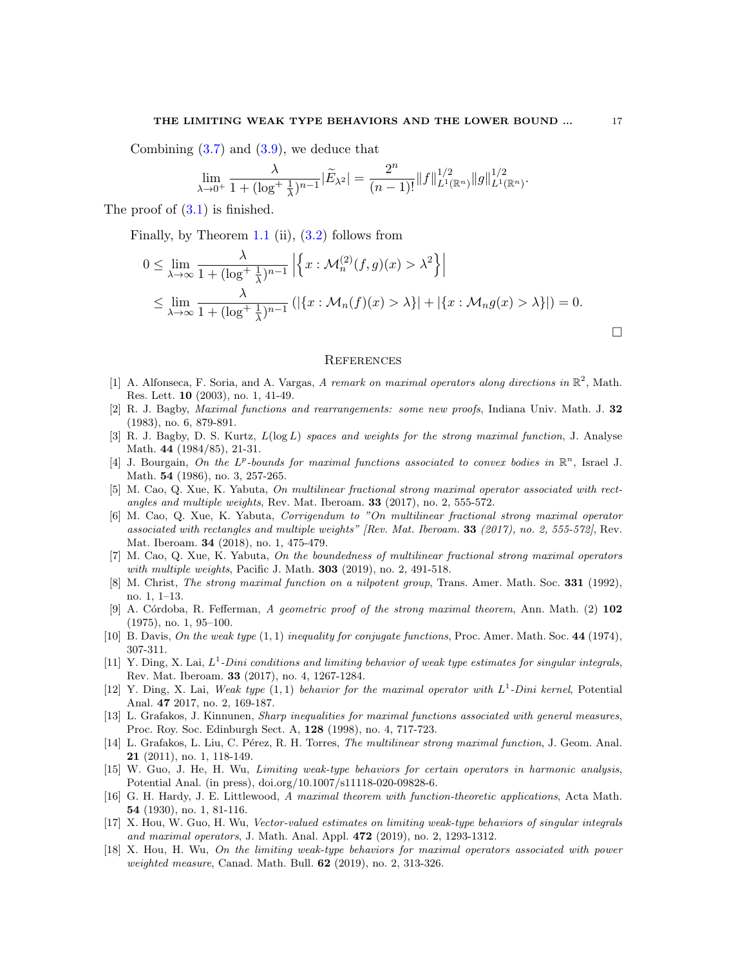Combining  $(3.7)$  and  $(3.9)$ , we deduce that

$$
\lim_{\lambda \to 0^+} \frac{\lambda}{1 + (\log^+ \frac{1}{\lambda})^{n-1}} |\widetilde{E}_{\lambda^2}| = \frac{2^n}{(n-1)!} ||f||_{L^1(\mathbb{R}^n)}^{1/2} ||g||_{L^1(\mathbb{R}^n)}^{1/2}.
$$

The proof of  $(3.1)$  is finished.

Finally, by Theorem [1.1](#page-2-0) (ii), [\(3.2\)](#page-11-2) follows from

$$
0 \leq \lim_{\lambda \to \infty} \frac{\lambda}{1 + (\log^+ \frac{1}{\lambda})^{n-1}} \left| \left\{ x : \mathcal{M}_n^{(2)}(f, g)(x) > \lambda^2 \right\} \right|
$$
  
 
$$
\leq \lim_{\lambda \to \infty} \frac{\lambda}{1 + (\log^+ \frac{1}{\lambda})^{n-1}} \left( \left| \left\{ x : \mathcal{M}_n(f)(x) > \lambda \right\} \right| + \left| \left\{ x : \mathcal{M}_n(g)(x) > \lambda \right\} \right| \right) = 0.
$$

#### **REFERENCES**

- <span id="page-16-9"></span>[1] A. Alfonseca, F. Soria, and A. Vargas, A remark on maximal operators along directions in  $\mathbb{R}^2$ , Math. Res. Lett. 10 (2003), no. 1, 41-49.
- <span id="page-16-10"></span>[2] R. J. Bagby, Maximal functions and rearrangements: some new proofs, Indiana Univ. Math. J. 32 (1983), no. 6, 879-891.
- <span id="page-16-11"></span>[3] R. J. Bagby, D. S. Kurtz,  $L(\log L)$  spaces and weights for the strong maximal function, J. Analyse Math. 44 (1984/85), 21-31.
- <span id="page-16-8"></span>[4] J. Bourgain, On the L<sup>p</sup>-bounds for maximal functions associated to convex bodies in  $\mathbb{R}^n$ , Israel J. Math. **54** (1986), no. 3, 257-265.
- <span id="page-16-14"></span>[5] M. Cao, Q. Xue, K. Yabuta, On multilinear fractional strong maximal operator associated with rectangles and multiple weights, Rev. Mat. Iberoam. 33 (2017), no. 2, 555-572.
- [6] M. Cao, Q. Xue, K. Yabuta, Corrigendum to "On multilinear fractional strong maximal operator associated with rectangles and multiple weights" [Rev. Mat. Iberoam. 33 (2017), no. 2, 555-572], Rev. Mat. Iberoam. 34 (2018), no. 1, 475-479.
- <span id="page-16-15"></span>[7] M. Cao, Q. Xue, K. Yabuta, On the boundedness of multilinear fractional strong maximal operators with multiple weights, Pacific J. Math. **303** (2019), no. 2, 491-518.
- <span id="page-16-12"></span>[8] M. Christ, The strong maximal function on a nilpotent group, Trans. Amer. Math. Soc. 331 (1992), no. 1, 1–13.
- <span id="page-16-7"></span>[9] A. Córdoba, R. Fefferman, A geometric proof of the strong maximal theorem, Ann. Math. (2) 102 (1975), no. 1, 95–100.
- <span id="page-16-2"></span>[10] B. Davis, On the weak type  $(1,1)$  inequality for conjugate functions, Proc. Amer. Math. Soc. 44 (1974), 307-311.
- <span id="page-16-3"></span>[11] Y. Ding, X. Lai,  $L^1$ -Dini conditions and limiting behavior of weak type estimates for singular integrals, Rev. Mat. Iberoam. 33 (2017), no. 4, 1267-1284.
- <span id="page-16-4"></span>[12] Y. Ding, X. Lai, Weak type  $(1,1)$  behavior for the maximal operator with  $L^1$ -Dini kernel, Potential Anal. 47 2017, no. 2, 169-187.
- <span id="page-16-1"></span>[13] L. Grafakos, J. Kinnunen, Sharp inequalities for maximal functions associated with general measures, Proc. Roy. Soc. Edinburgh Sect. A, 128 (1998), no. 4, 717-723.
- <span id="page-16-13"></span>[14] L. Grafakos, L. Liu, C. Pérez, R. H. Torres, *The multilinear strong maximal function*, J. Geom. Anal. 21 (2011), no. 1, 118-149.
- <span id="page-16-5"></span>[15] W. Guo, J. He, H. Wu, Limiting weak-type behaviors for certain operators in harmonic analysis, Potential Anal. (in press), doi.org/10.1007/s11118-020-09828-6.
- <span id="page-16-0"></span>[16] G. H. Hardy, J. E. Littlewood, A maximal theorem with function-theoretic applications, Acta Math. 54 (1930), no. 1, 81-116.
- <span id="page-16-6"></span>[17] X. Hou, W. Guo, H. Wu, Vector-valued estimates on limiting weak-type behaviors of singular integrals and maximal operators, J. Math. Anal. Appl. 472 (2019), no. 2, 1293-1312.
- [18] X. Hou, H. Wu, On the limiting weak-type behaviors for maximal operators associated with power weighted measure, Canad. Math. Bull. **62** (2019), no. 2, 313-326.

 $\Box$